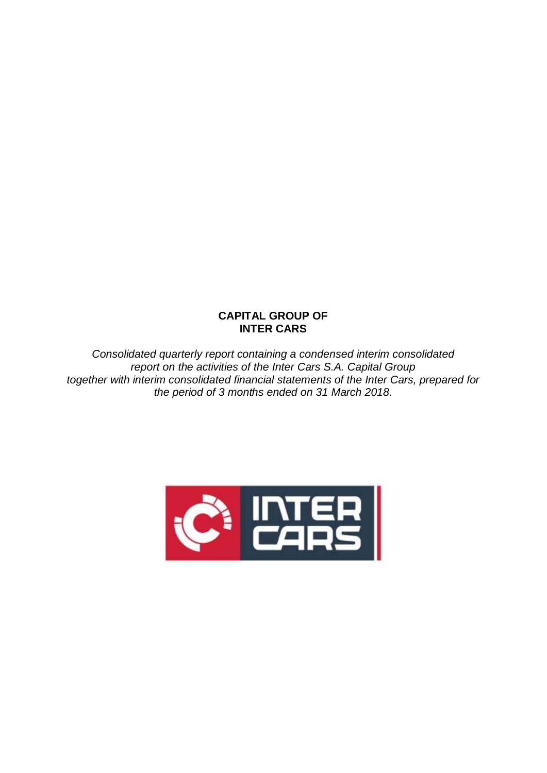## **CAPITAL GROUP OF INTER CARS**

*Consolidated quarterly report containing a condensed interim consolidated report on the activities of the Inter Cars S.A. Capital Group together with interim consolidated financial statements of the Inter Cars, prepared for the period of 3 months ended on 31 March 2018.*

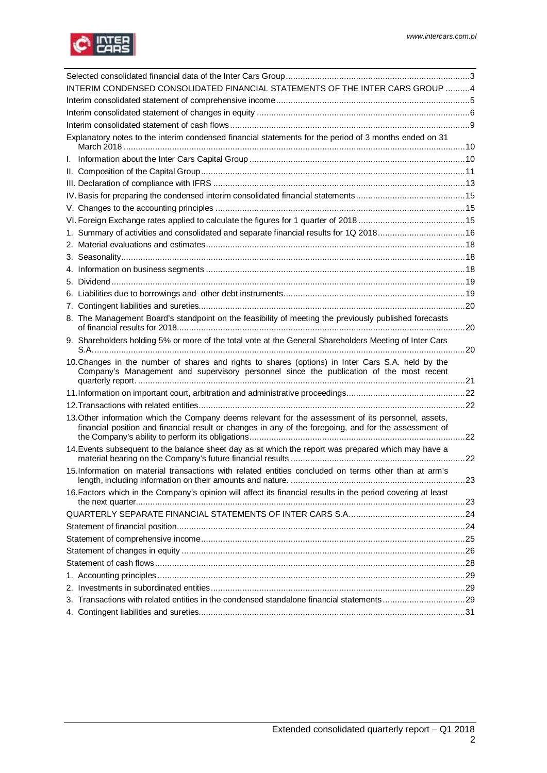

| INTERIM CONDENSED CONSOLIDATED FINANCIAL STATEMENTS OF THE INTER CARS GROUP 4                                                                                                                                |     |
|--------------------------------------------------------------------------------------------------------------------------------------------------------------------------------------------------------------|-----|
|                                                                                                                                                                                                              |     |
|                                                                                                                                                                                                              |     |
|                                                                                                                                                                                                              |     |
| Explanatory notes to the interim condensed financial statements for the period of 3 months ended on 31                                                                                                       |     |
|                                                                                                                                                                                                              |     |
|                                                                                                                                                                                                              |     |
|                                                                                                                                                                                                              |     |
|                                                                                                                                                                                                              |     |
|                                                                                                                                                                                                              |     |
|                                                                                                                                                                                                              |     |
| 1. Summary of activities and consolidated and separate financial results for 1Q 201816                                                                                                                       |     |
|                                                                                                                                                                                                              |     |
|                                                                                                                                                                                                              |     |
|                                                                                                                                                                                                              |     |
|                                                                                                                                                                                                              |     |
|                                                                                                                                                                                                              |     |
|                                                                                                                                                                                                              |     |
| 8. The Management Board's standpoint on the feasibility of meeting the previously published forecasts                                                                                                        |     |
| 9. Shareholders holding 5% or more of the total vote at the General Shareholders Meeting of Inter Cars                                                                                                       |     |
| 10. Changes in the number of shares and rights to shares (options) in Inter Cars S.A. held by the<br>Company's Management and supervisory personnel since the publication of the most recent                 |     |
|                                                                                                                                                                                                              |     |
|                                                                                                                                                                                                              |     |
| 13. Other information which the Company deems relevant for the assessment of its personnel, assets,<br>financial position and financial result or changes in any of the foregoing, and for the assessment of |     |
| 14. Events subsequent to the balance sheet day as at which the report was prepared which may have a                                                                                                          |     |
| 15.Information on material transactions with related entities concluded on terms other than at arm's<br>length, including information on their amounts and nature.                                           | 23. |
| 16. Factors which in the Company's opinion will affect its financial results in the period covering at least                                                                                                 |     |
|                                                                                                                                                                                                              |     |
|                                                                                                                                                                                                              |     |
|                                                                                                                                                                                                              |     |
|                                                                                                                                                                                                              |     |
|                                                                                                                                                                                                              |     |
|                                                                                                                                                                                                              |     |
|                                                                                                                                                                                                              |     |
| 3. Transactions with related entities in the condensed standalone financial statements29                                                                                                                     |     |
|                                                                                                                                                                                                              |     |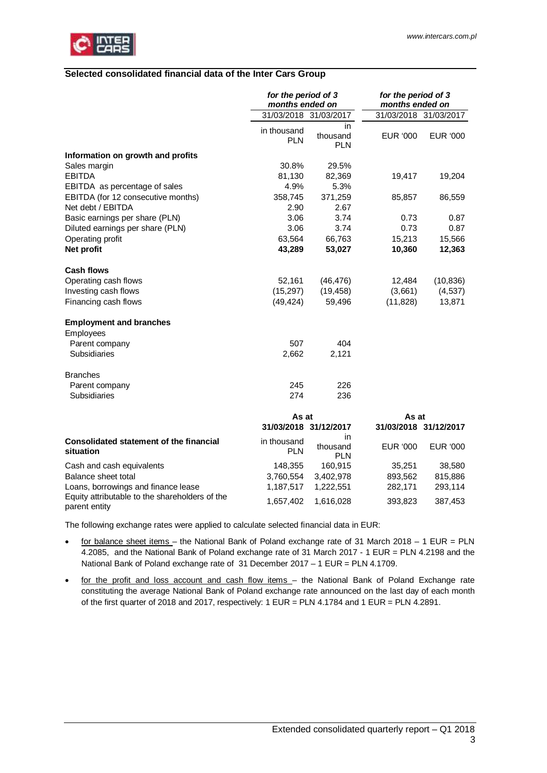<span id="page-2-0"></span>

#### <span id="page-2-1"></span>**Selected consolidated financial data of the Inter Cars Group**

|                                                                 | for the period of 3<br>months ended on |                               | for the period of 3<br>months ended on |                       |
|-----------------------------------------------------------------|----------------------------------------|-------------------------------|----------------------------------------|-----------------------|
|                                                                 |                                        | 31/03/2018 31/03/2017         |                                        | 31/03/2018 31/03/2017 |
|                                                                 | in thousand<br><b>PLN</b>              | in.<br>thousand<br><b>PLN</b> | EUR '000                               | EUR '000              |
| Information on growth and profits                               |                                        |                               |                                        |                       |
| Sales margin                                                    | 30.8%                                  | 29.5%                         |                                        |                       |
| <b>EBITDA</b>                                                   | 81,130                                 | 82,369                        | 19,417                                 | 19,204                |
| EBITDA as percentage of sales                                   | 4.9%                                   | 5.3%                          |                                        |                       |
| EBITDA (for 12 consecutive months)                              | 358,745                                | 371,259                       | 85,857                                 | 86,559                |
| Net debt / EBITDA                                               | 2.90                                   | 2.67                          |                                        |                       |
| Basic earnings per share (PLN)                                  | 3.06                                   | 3.74                          | 0.73                                   | 0.87                  |
| Diluted earnings per share (PLN)                                | 3.06                                   | 3.74                          | 0.73                                   | 0.87                  |
| Operating profit                                                | 63,564                                 | 66,763                        | 15,213                                 | 15,566                |
| Net profit                                                      | 43,289                                 | 53,027                        | 10,360                                 | 12,363                |
| <b>Cash flows</b>                                               |                                        |                               |                                        |                       |
| Operating cash flows                                            | 52,161                                 | (46, 476)                     | 12,484                                 | (10, 836)             |
| Investing cash flows                                            | (15, 297)                              | (19, 458)                     | (3,661)                                | (4, 537)              |
| Financing cash flows                                            | (49, 424)                              | 59,496                        | (11, 828)                              | 13,871                |
| <b>Employment and branches</b>                                  |                                        |                               |                                        |                       |
| Employees                                                       |                                        |                               |                                        |                       |
| Parent company                                                  | 507                                    | 404                           |                                        |                       |
| <b>Subsidiaries</b>                                             | 2,662                                  | 2,121                         |                                        |                       |
| <b>Branches</b>                                                 |                                        |                               |                                        |                       |
| Parent company                                                  | 245                                    | 226                           |                                        |                       |
| Subsidiaries                                                    | 274                                    | 236                           |                                        |                       |
|                                                                 | As at                                  |                               | As at                                  |                       |
|                                                                 | 31/03/2018 31/12/2017                  |                               |                                        | 31/03/2018 31/12/2017 |
| <b>Consolidated statement of the financial</b><br>situation     | in thousand<br><b>PLN</b>              | in.<br>thousand<br><b>PLN</b> | EUR '000                               | EUR '000              |
| Cash and cash equivalents                                       | 148,355                                | 160,915                       | 35,251                                 | 38,580                |
| Balance sheet total                                             | 3,760,554                              | 3,402,978                     | 893,562                                | 815,886               |
| Loans, borrowings and finance lease                             | 1,187,517                              | 1,222,551                     | 282,171                                | 293,114               |
| Equity attributable to the shareholders of the<br>parent entity | 1,657,402                              | 1,616,028                     | 393,823                                | 387,453               |

The following exchange rates were applied to calculate selected financial data in EUR:

- for balance sheet items the National Bank of Poland exchange rate of 31 March 2018 1 EUR = PLN 4.2085, and the National Bank of Poland exchange rate of 31 March 2017 - 1 EUR = PLN 4.2198 and the National Bank of Poland exchange rate of 31 December 2017 – 1 EUR = PLN 4.1709.
- · for the profit and loss account and cash flow items the National Bank of Poland Exchange rate constituting the average National Bank of Poland exchange rate announced on the last day of each month of the first quarter of 2018 and 2017, respectively: 1 EUR = PLN 4.1784 and 1 EUR = PLN 4.2891.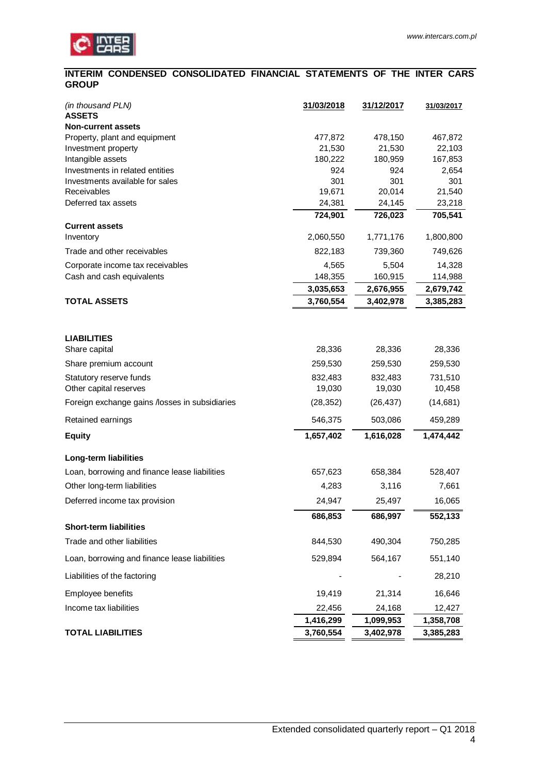

### <span id="page-3-0"></span>**INTERIM CONDENSED CONSOLIDATED FINANCIAL STATEMENTS OF THE INTER CARS GROUP**

| (in thousand PLN)<br><b>ASSETS</b>             | 31/03/2018        | 31/12/2017        | 31/03/2017        |
|------------------------------------------------|-------------------|-------------------|-------------------|
| <b>Non-current assets</b>                      |                   |                   |                   |
| Property, plant and equipment                  | 477,872           | 478,150           | 467,872           |
| Investment property<br>Intangible assets       | 21,530<br>180,222 | 21,530<br>180,959 | 22,103<br>167,853 |
| Investments in related entities                | 924               | 924               | 2,654             |
| Investments available for sales                | 301               | 301               | 301               |
| Receivables                                    | 19,671            | 20,014            | 21,540            |
| Deferred tax assets                            | 24,381            | 24,145            | 23,218            |
|                                                | 724,901           | 726,023           | 705,541           |
| <b>Current assets</b>                          |                   |                   |                   |
| Inventory                                      | 2,060,550         | 1,771,176         | 1,800,800         |
| Trade and other receivables                    | 822,183           | 739,360           | 749,626           |
| Corporate income tax receivables               | 4,565             | 5,504             | 14,328            |
| Cash and cash equivalents                      | 148,355           | 160,915           | 114,988           |
|                                                | 3,035,653         | 2,676,955         | 2,679,742         |
| <b>TOTAL ASSETS</b>                            | 3,760,554         | 3,402,978         | 3,385,283         |
|                                                |                   |                   |                   |
| <b>LIABILITIES</b>                             |                   |                   |                   |
| Share capital                                  | 28,336            | 28,336            | 28,336            |
| Share premium account                          | 259,530           | 259,530           | 259,530           |
| Statutory reserve funds                        | 832,483           | 832,483           | 731,510           |
| Other capital reserves                         | 19,030            | 19,030            | 10,458            |
| Foreign exchange gains /losses in subsidiaries | (28, 352)         | (26, 437)         | (14,681)          |
| Retained earnings                              | 546,375           | 503,086           | 459,289           |
| <b>Equity</b>                                  | 1,657,402         | 1,616,028         | 1,474,442         |
| <b>Long-term liabilities</b>                   |                   |                   |                   |
| Loan, borrowing and finance lease liabilities  | 657,623           | 658,384           | 528,407           |
| Other long-term liabilities                    | 4,283             | 3,116             | 7,661             |
| Deferred income tax provision                  | 24,947            | 25,497            | 16,065            |
|                                                | 686,853           | 686,997           | 552,133           |
| <b>Short-term liabilities</b>                  |                   |                   |                   |
| Trade and other liabilities                    | 844,530           | 490,304           | 750,285           |
| Loan, borrowing and finance lease liabilities  | 529,894           | 564,167           | 551,140           |
| Liabilities of the factoring                   |                   |                   | 28,210            |
| Employee benefits                              | 19,419            | 21,314            | 16,646            |
| Income tax liabilities                         | 22,456            | 24,168            | 12,427            |
|                                                | 1,416,299         | 1,099,953         | 1,358,708         |
| <b>TOTAL LIABILITIES</b>                       | 3,760,554         | 3,402,978         | 3,385,283         |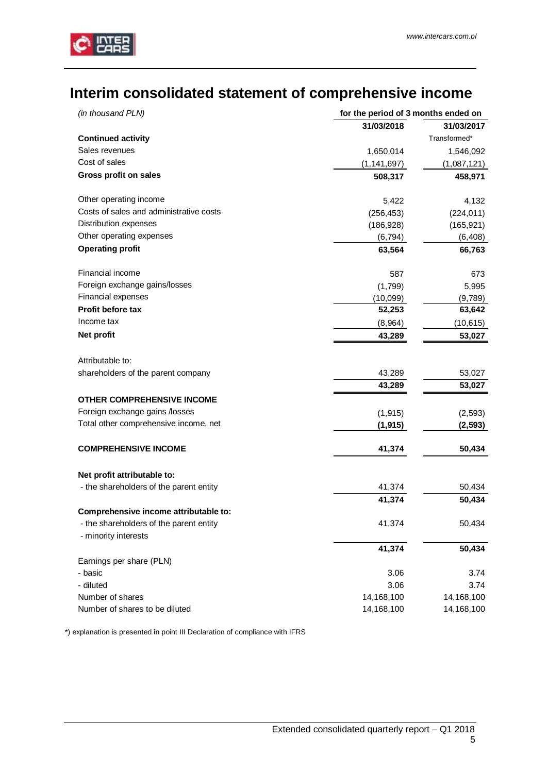

# <span id="page-4-0"></span>**Interim consolidated statement of comprehensive income**

| (in thousand PLN)                                               | for the period of 3 months ended on |              |
|-----------------------------------------------------------------|-------------------------------------|--------------|
|                                                                 | 31/03/2018                          | 31/03/2017   |
| <b>Continued activity</b>                                       |                                     | Transformed* |
| Sales revenues                                                  | 1,650,014                           | 1,546,092    |
| Cost of sales                                                   | (1, 141, 697)                       | (1,087,121)  |
| Gross profit on sales                                           | 508,317                             | 458,971      |
| Other operating income                                          | 5,422                               | 4,132        |
| Costs of sales and administrative costs                         | (256, 453)                          | (224, 011)   |
| Distribution expenses                                           | (186, 928)                          | (165, 921)   |
| Other operating expenses                                        | (6, 794)                            | (6, 408)     |
| <b>Operating profit</b>                                         | 63,564                              | 66,763       |
| Financial income                                                | 587                                 | 673          |
| Foreign exchange gains/losses                                   | (1,799)                             | 5,995        |
| Financial expenses                                              | (10,099)                            | (9,789)      |
| Profit before tax                                               | 52,253                              | 63,642       |
| Income tax                                                      | (8,964)                             | (10, 615)    |
| Net profit                                                      | 43,289                              | 53,027       |
| Attributable to:                                                |                                     |              |
| shareholders of the parent company                              | 43,289                              | 53,027       |
|                                                                 | 43,289                              | 53,027       |
| <b>OTHER COMPREHENSIVE INCOME</b>                               |                                     |              |
| Foreign exchange gains /losses                                  | (1, 915)                            | (2, 593)     |
| Total other comprehensive income, net                           | (1, 915)                            | (2, 593)     |
| <b>COMPREHENSIVE INCOME</b>                                     | 41,374                              | 50,434       |
| Net profit attributable to:                                     |                                     |              |
| - the shareholders of the parent entity                         | 41,374                              | 50,434       |
|                                                                 | 41,374                              | 50,434       |
| Comprehensive income attributable to:                           |                                     |              |
| - the shareholders of the parent entity<br>- minority interests | 41,374                              | 50,434       |
|                                                                 | 41,374                              | 50,434       |
| Earnings per share (PLN)                                        |                                     |              |
| - basic                                                         | 3.06                                | 3.74         |
| - diluted                                                       | 3.06                                | 3.74         |
| Number of shares                                                | 14,168,100                          | 14,168,100   |
| Number of shares to be diluted                                  | 14,168,100                          | 14,168,100   |

\*) explanation is presented in point III Declaration of compliance with IFRS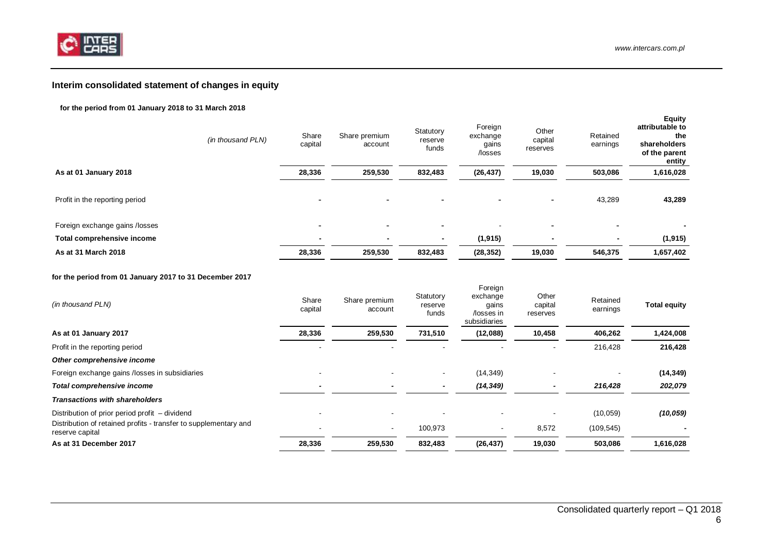

## <span id="page-5-0"></span>**Interim consolidated statement of changes in equity**

#### **for the period from 01 January 2018 to 31 March 2018**

|                                | (in thousand PLN) | Share<br>capital         | Share premium<br>account | Statutory<br>reserve<br>funds | Foreign<br>exchange<br>gains<br>/losses | Other<br>capital<br>reserves | Retained<br>earnings     | <b>Equity</b><br>attributable to<br>the<br>shareholders<br>of the parent<br>entity |
|--------------------------------|-------------------|--------------------------|--------------------------|-------------------------------|-----------------------------------------|------------------------------|--------------------------|------------------------------------------------------------------------------------|
| As at 01 January 2018          |                   | 28,336                   | 259,530                  | 832,483                       | (26, 437)                               | 19,030                       | 503,086                  | 1,616,028                                                                          |
| Profit in the reporting period |                   | -                        | $\overline{\phantom{0}}$ | $\overline{\phantom{0}}$      | $\overline{\phantom{a}}$                | ۰                            | 43,289                   | 43,289                                                                             |
| Foreign exchange gains /losses |                   | -                        | -                        | -                             |                                         | -                            | $\overline{\phantom{0}}$ |                                                                                    |
| Total comprehensive income     |                   | $\overline{\phantom{0}}$ |                          | $\blacksquare$                | (1, 915)                                | $\blacksquare$               | $\blacksquare$           | (1, 915)                                                                           |
| As at 31 March 2018            |                   | 28,336                   | 259,530                  | 832,483                       | (28, 352)                               | 19,030                       | 546,375                  | 1,657,402                                                                          |

#### **for the period from 01 January 2017 to 31 December 2017**

| (in thousand PLN)                                                                   | Share<br>capital | Share premium<br>account | Statutory<br>reserve<br>funds | <b>Foreign</b><br>exchange<br>gains<br>/losses in<br>subsidiaries | Other<br>capital<br>reserves | Retained<br>earnings | <b>Total equity</b> |
|-------------------------------------------------------------------------------------|------------------|--------------------------|-------------------------------|-------------------------------------------------------------------|------------------------------|----------------------|---------------------|
| As at 01 January 2017                                                               | 28,336           | 259,530                  | 731,510                       | (12,088)                                                          | 10,458                       | 406,262              | 1,424,008           |
| Profit in the reporting period                                                      |                  |                          |                               |                                                                   |                              | 216,428              | 216,428             |
| Other comprehensive income                                                          |                  |                          |                               |                                                                   |                              |                      |                     |
| Foreign exchange gains /losses in subsidiaries                                      |                  |                          |                               | (14, 349)                                                         |                              |                      | (14, 349)           |
| Total comprehensive income                                                          |                  |                          |                               | (14, 349)                                                         |                              | 216,428              | 202,079             |
| <b>Transactions with shareholders</b>                                               |                  |                          |                               |                                                                   |                              |                      |                     |
| Distribution of prior period profit – dividend                                      |                  |                          |                               |                                                                   |                              | (10, 059)            | (10, 059)           |
| Distribution of retained profits - transfer to supplementary and<br>reserve capital | ۰                | $\sim$                   | 100,973                       | $\overline{\phantom{a}}$                                          | 8,572                        | (109, 545)           |                     |
| As at 31 December 2017                                                              | 28,336           | 259,530                  | 832,483                       | (26, 437)                                                         | 19,030                       | 503,086              | 1,616,028           |

 $\mathbf{F}$   $\mathbf{F}$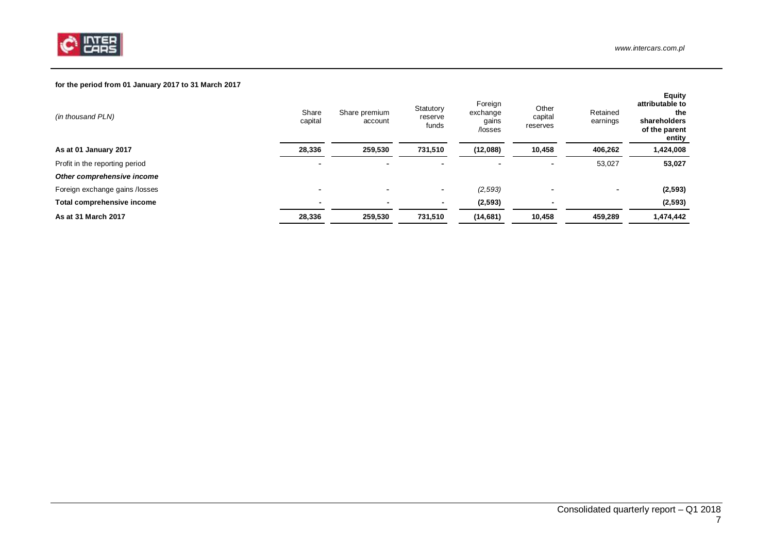

### **for the period from 01 January 2017 to 31 March 2017**

| (in thousand PLN)              | Share<br>capital         | Share premium<br>account | Statutory<br>reserve<br>funds | Foreign<br>exchange<br>gains<br>/losses | Other<br>capital<br>reserves | Retained<br>earnings | <b>Equity</b><br>attributable to<br>the<br>shareholders<br>of the parent<br>entity |
|--------------------------------|--------------------------|--------------------------|-------------------------------|-----------------------------------------|------------------------------|----------------------|------------------------------------------------------------------------------------|
| As at 01 January 2017          | 28,336                   | 259,530                  | 731,510                       | (12,088)                                | 10,458                       | 406,262              | 1,424,008                                                                          |
| Profit in the reporting period |                          |                          |                               | $\overline{\phantom{0}}$                | ۰                            | 53,027               | 53,027                                                                             |
| Other comprehensive income     |                          |                          |                               |                                         |                              |                      |                                                                                    |
| Foreign exchange gains /losses |                          |                          | $\overline{\phantom{0}}$      | (2,593)                                 | ۰                            |                      | (2, 593)                                                                           |
| Total comprehensive income     | $\overline{\phantom{0}}$ | $\blacksquare$           |                               | (2, 593)                                | $\overline{\phantom{a}}$     |                      | (2, 593)                                                                           |
| As at 31 March 2017            | 28,336                   | 259,530                  | 731,510                       | (14, 681)                               | 10,458                       | 459,289              | 1,474,442                                                                          |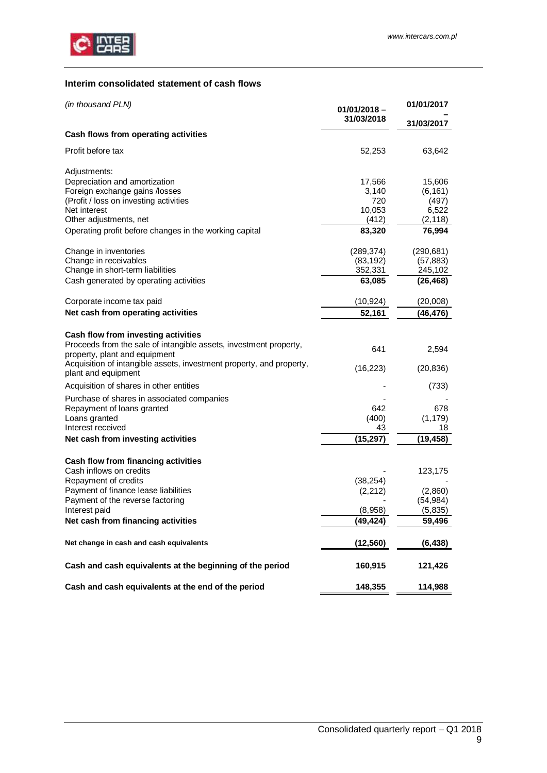

## <span id="page-8-0"></span>**Interim consolidated statement of cash flows**

| (in thousand PLN)                                                                           | $01/01/2018 -$ | 01/01/2017 |  |
|---------------------------------------------------------------------------------------------|----------------|------------|--|
|                                                                                             | 31/03/2018     | 31/03/2017 |  |
| Cash flows from operating activities                                                        |                |            |  |
| Profit before tax                                                                           | 52,253         | 63,642     |  |
| Adjustments:                                                                                |                |            |  |
| Depreciation and amortization                                                               | 17,566         | 15,606     |  |
| Foreign exchange gains /losses                                                              | 3,140          | (6, 161)   |  |
| (Profit / loss on investing activities                                                      | 720            | (497)      |  |
| Net interest                                                                                | 10,053         | 6,522      |  |
| Other adjustments, net                                                                      | (412)          | (2, 118)   |  |
| Operating profit before changes in the working capital                                      | 83,320         | 76,994     |  |
| Change in inventories                                                                       | (289, 374)     | (290, 681) |  |
| Change in receivables                                                                       | (83, 192)      | (57, 883)  |  |
| Change in short-term liabilities                                                            | 352,331        | 245,102    |  |
| Cash generated by operating activities                                                      | 63,085         | (26, 468)  |  |
| Corporate income tax paid                                                                   | (10,924)       | (20,008)   |  |
| Net cash from operating activities                                                          | 52,161         | (46,476)   |  |
|                                                                                             |                |            |  |
| Cash flow from investing activities                                                         |                |            |  |
| Proceeds from the sale of intangible assets, investment property,                           |                |            |  |
| property, plant and equipment                                                               | 641            | 2,594      |  |
| Acquisition of intangible assets, investment property, and property,<br>plant and equipment | (16, 223)      | (20, 836)  |  |
| Acquisition of shares in other entities                                                     |                | (733)      |  |
| Purchase of shares in associated companies                                                  |                |            |  |
| Repayment of loans granted                                                                  | 642            | 678        |  |
| Loans granted                                                                               | (400)          | (1, 179)   |  |
| Interest received                                                                           | 43             | 18         |  |
| Net cash from investing activities                                                          | (15, 297)      | (19, 458)  |  |
|                                                                                             |                |            |  |
| Cash flow from financing activities<br>Cash inflows on credits                              |                |            |  |
|                                                                                             |                | 123,175    |  |
| Repayment of credits                                                                        | (38, 254)      |            |  |
| Payment of finance lease liabilities                                                        | (2,212)        | (2,860)    |  |
| Payment of the reverse factoring<br>Interest paid                                           |                | (54, 984)  |  |
|                                                                                             | (8,958)        | (5,835)    |  |
| Net cash from financing activities                                                          | (49, 424)      | 59,496     |  |
| Net change in cash and cash equivalents                                                     | (12,560)       | (6,438)    |  |
| Cash and cash equivalents at the beginning of the period                                    | 160,915        | 121,426    |  |
| Cash and cash equivalents at the end of the period                                          | 148,355        | 114,988    |  |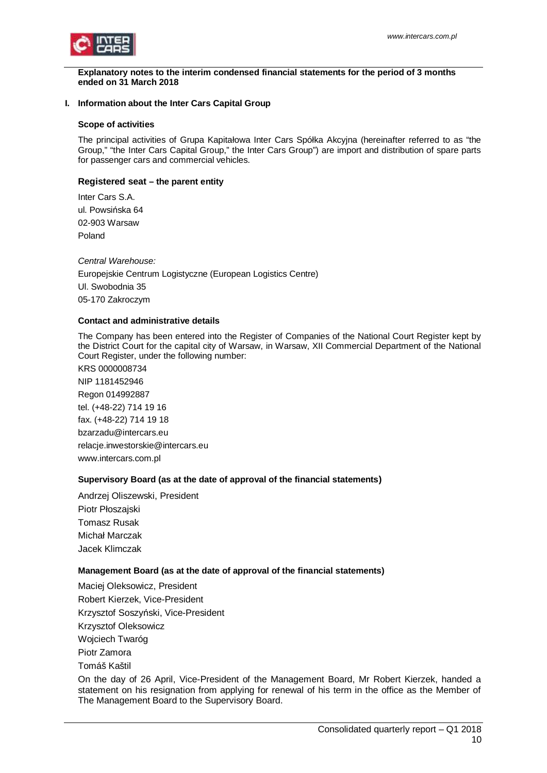

<span id="page-9-0"></span>**Explanatory notes to the interim condensed financial statements for the period of 3 months ended on 31 March 2018**

### <span id="page-9-1"></span>**I. Information about the Inter Cars Capital Group**

#### **Scope of activities**

The principal activities of Grupa Kapitałowa Inter Cars Spółka Akcyjna (hereinafter referred to as "the Group," "the Inter Cars Capital Group," the Inter Cars Group") are import and distribution of spare parts for passenger cars and commercial vehicles.

### **Registered seat – the parent entity**

Inter Cars S.A. ul. Powsińska 64 02-903 Warsaw Poland

*Central Warehouse:* Europejskie Centrum Logistyczne (European Logistics Centre) Ul. Swobodnia 35 05-170 Zakroczym

#### **Contact and administrative details**

The Company has been entered into the Register of Companies of the National Court Register kept by the District Court for the capital city of Warsaw, in Warsaw, XII Commercial Department of the National Court Register, under the following number:

KRS 0000008734 NIP 1181452946 Regon 014992887 tel. (+48-22) 714 19 16 fax. (+48-22) 714 19 18 bzarzadu@intercars.eu relacje.inwestorskie@intercars.eu www.intercars.com.pl

## **Supervisory Board (as at the date of approval of the financial statements)**

Andrzej Oliszewski, President Piotr Płoszajski Tomasz Rusak Michał Marczak Jacek Klimczak

## **Management Board (as at the date of approval of the financial statements)**

Maciej Oleksowicz, President Robert Kierzek, Vice-President Krzysztof Soszyński, Vice-President Krzysztof Oleksowicz Wojciech Twaróg Piotr Zamora Tomáš Kaštil

On the day of 26 April, Vice-President of the Management Board, Mr Robert Kierzek, handed a statement on his resignation from applying for renewal of his term in the office as the Member of The Management Board to the Supervisory Board.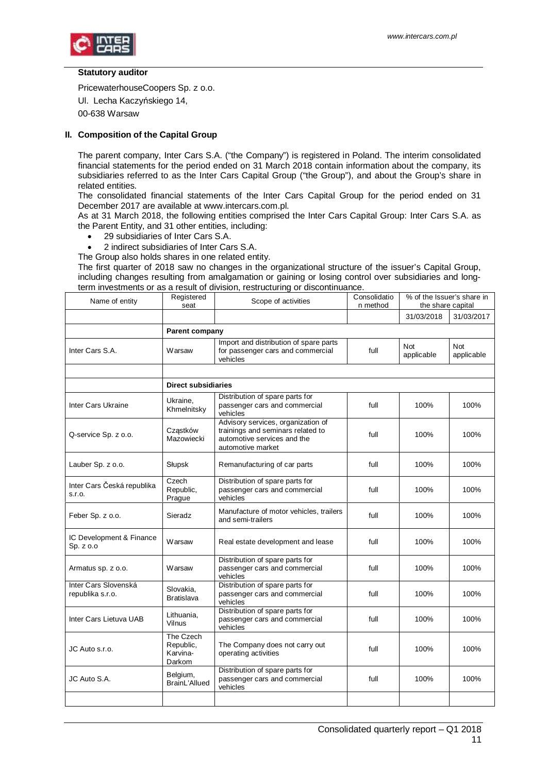

#### **Statutory auditor**

PricewaterhouseCoopers Sp. z o.o. Ul. Lecha Kaczyńskiego 14, 00-638 Warsaw

### <span id="page-10-0"></span>**II. Composition of the Capital Group**

The parent company, Inter Cars S.A. ("the Company") is registered in Poland. The interim consolidated financial statements for the period ended on 31 March 2018 contain information about the company, its subsidiaries referred to as the Inter Cars Capital Group ("the Group"), and about the Group's share in related entities.

The consolidated financial statements of the Inter Cars Capital Group for the period ended on 31 December 2017 are available at www.intercars.com.pl.

As at 31 March 2018, the following entities comprised the Inter Cars Capital Group: Inter Cars S.A. as the Parent Entity, and 31 other entities, including:

- · 29 subsidiaries of Inter Cars S.A.
- · 2 indirect subsidiaries of Inter Cars S.A.

The Group also holds shares in one related entity.

The first quarter of 2018 saw no changes in the organizational structure of the issuer's Capital Group, including changes resulting from amalgamation or gaining or losing control over subsidiaries and longterm investments or as a result of division, restructuring or discontinuance.

| Name of entity                           | Registered<br>seat                           | Scope of activities                                                                                                         | Consolidatio<br>n method | % of the Issuer's share in<br>the share capital |                          |
|------------------------------------------|----------------------------------------------|-----------------------------------------------------------------------------------------------------------------------------|--------------------------|-------------------------------------------------|--------------------------|
|                                          |                                              |                                                                                                                             |                          | 31/03/2018                                      | 31/03/2017               |
|                                          | <b>Parent company</b>                        |                                                                                                                             |                          |                                                 |                          |
| Inter Cars S.A.                          | Warsaw                                       | Import and distribution of spare parts<br>for passenger cars and commercial<br>vehicles                                     | full                     | <b>Not</b><br>applicable                        | <b>Not</b><br>applicable |
|                                          |                                              |                                                                                                                             |                          |                                                 |                          |
|                                          | <b>Direct subsidiaries</b>                   |                                                                                                                             |                          |                                                 |                          |
| <b>Inter Cars Ukraine</b>                | Ukraine,<br>Khmelnitsky                      | Distribution of spare parts for<br>passenger cars and commercial<br>vehicles                                                | full                     | 100%                                            | 100%                     |
| Q-service Sp. z o.o.                     | Cząstków<br>Mazowiecki                       | Advisory services, organization of<br>trainings and seminars related to<br>automotive services and the<br>automotive market | full                     | 100%                                            | 100%                     |
| Lauber Sp. z o.o.                        | Słupsk                                       | Remanufacturing of car parts                                                                                                | full                     | 100%                                            | 100%                     |
| Inter Cars Česká republika<br>S.T.O.     | Czech<br>Republic,<br>Prague                 | Distribution of spare parts for<br>passenger cars and commercial<br>vehicles                                                | full                     | 100%                                            | 100%                     |
| Feber Sp. z o.o.                         | Sieradz                                      | Manufacture of motor vehicles, trailers<br>and semi-trailers                                                                | full                     | 100%                                            | 100%                     |
| IC Development & Finance<br>Sp. z o.o    | Warsaw                                       | Real estate development and lease                                                                                           | full                     | 100%                                            | 100%                     |
| Armatus sp. z o.o.                       | Warsaw                                       | Distribution of spare parts for<br>passenger cars and commercial<br>vehicles                                                | full                     | 100%                                            | 100%                     |
| Inter Cars Slovenská<br>republika s.r.o. | Slovakia,<br><b>Bratislava</b>               | Distribution of spare parts for<br>passenger cars and commercial<br>vehicles                                                | full                     | 100%                                            | 100%                     |
| Inter Cars Lietuva UAB                   | Lithuania,<br>Vilnus                         | Distribution of spare parts for<br>passenger cars and commercial<br>vehicles                                                | full                     | 100%                                            | 100%                     |
| JC Auto s.r.o.                           | The Czech<br>Republic,<br>Karvina-<br>Darkom | The Company does not carry out<br>operating activities                                                                      | full                     | 100%                                            | 100%                     |
| JC Auto S.A.                             | Belgium,<br>BrainL'Allued                    | Distribution of spare parts for<br>passenger cars and commercial<br>vehicles                                                | full                     | 100%                                            | 100%                     |
|                                          |                                              |                                                                                                                             |                          |                                                 |                          |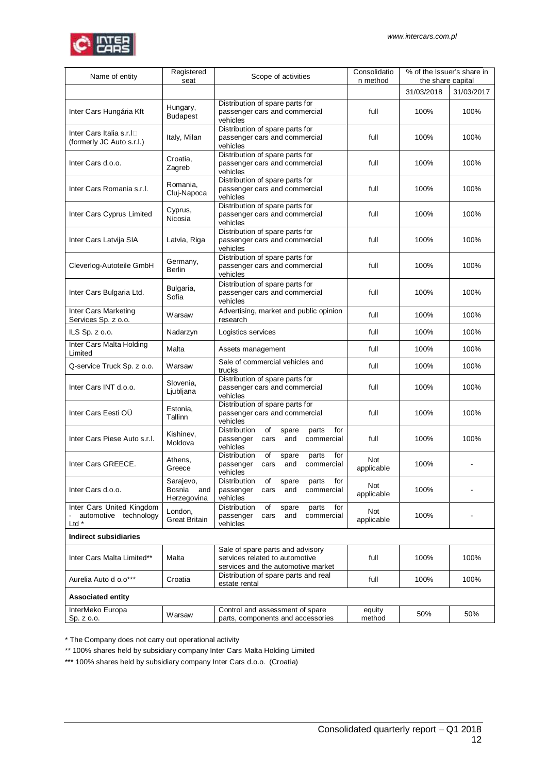

| Name of entity                                                           | Registered<br>seat                     | Scope of activities                                                                                      | Consolidatio<br>n method | % of the Issuer's share in<br>the share capital |            |
|--------------------------------------------------------------------------|----------------------------------------|----------------------------------------------------------------------------------------------------------|--------------------------|-------------------------------------------------|------------|
|                                                                          |                                        |                                                                                                          |                          | 31/03/2018                                      | 31/03/2017 |
| Inter Cars Hungária Kft                                                  | Hungary,<br><b>Budapest</b>            | Distribution of spare parts for<br>passenger cars and commercial<br>vehicles                             | full                     | 100%                                            | 100%       |
| Inter Cars Italia s.r.I□<br>(formerly JC Auto s.r.l.)                    | Italy, Milan                           | Distribution of spare parts for<br>passenger cars and commercial<br>vehicles                             | full                     | 100%                                            | 100%       |
| Inter Cars d.o.o.                                                        | Croatia,<br>Zagreb                     | Distribution of spare parts for<br>passenger cars and commercial<br>vehicles                             | full                     | 100%                                            | 100%       |
| Inter Cars Romania s.r.l.                                                | Romania,<br>Cluj-Napoca                | Distribution of spare parts for<br>passenger cars and commercial<br>vehicles                             | full                     | 100%                                            | 100%       |
| Inter Cars Cyprus Limited                                                | Cyprus,<br>Nicosia                     | Distribution of spare parts for<br>passenger cars and commercial<br>vehicles                             | full                     | 100%                                            | 100%       |
| Inter Cars Latvija SIA                                                   | Latvia, Riga                           | Distribution of spare parts for<br>passenger cars and commercial<br>vehicles                             | full                     | 100%                                            | 100%       |
| Cleverlog-Autoteile GmbH                                                 | Germany,<br><b>Berlin</b>              | Distribution of spare parts for<br>passenger cars and commercial<br>vehicles                             | full                     | 100%                                            | 100%       |
| Inter Cars Bulgaria Ltd.                                                 | Bulgaria,<br>Sofia                     | Distribution of spare parts for<br>passenger cars and commercial<br>vehicles                             | full                     | 100%                                            | 100%       |
| Inter Cars Marketing<br>Services Sp. z o.o.                              | Warsaw                                 | Advertising, market and public opinion<br>research                                                       | full                     | 100%                                            | 100%       |
| ILS Sp. z o.o.                                                           | Nadarzyn                               | Logistics services                                                                                       | full                     | 100%                                            | 100%       |
| Inter Cars Malta Holding<br>Limited                                      | Malta                                  | Assets management                                                                                        | full                     | 100%                                            | 100%       |
| Q-service Truck Sp. z o.o.                                               | Warsaw                                 | Sale of commercial vehicles and<br>trucks                                                                | full                     | 100%                                            | 100%       |
| Inter Cars INT d.o.o.                                                    | Slovenia,<br>Ljubljana                 | Distribution of spare parts for<br>passenger cars and commercial<br>vehicles                             | full                     | 100%                                            | 100%       |
| Inter Cars Eesti OÜ                                                      | Estonia,<br>Tallinn                    | Distribution of spare parts for<br>passenger cars and commercial<br>vehicles                             | full                     | 100%                                            | 100%       |
| Inter Cars Piese Auto s.r.l.                                             | Kishinev.<br>Moldova                   | Distribution<br>of<br>parts<br>for<br>spare<br>commercial<br>passenger<br>cars<br>and<br>vehicles        | full                     | 100%                                            | 100%       |
| Inter Cars GREECE.                                                       | Athens,<br>Greece                      | Distribution<br>of<br>parts<br>for<br>spare<br>passenger<br>cars<br>and<br>commercial<br>vehicles        | Not<br>applicable        | 100%                                            |            |
| Inter Cars d.o.o.                                                        | Sarajevo,<br>Bosnia and<br>Herzegovina | Distribution<br>for<br>of<br>parts<br>spare<br>passenger<br>commercial<br>cars<br>and<br>vehicles        | Not<br>applicable        | 100%                                            |            |
| Inter Cars United Kingdom<br>- automotive technology<br>Ltd <sup>*</sup> | London,<br><b>Great Britain</b>        | Distribution<br>of<br>parts<br>for<br>spare<br>and<br>commercial<br>passenger<br>cars<br>vehicles        | Not<br>applicable        | 100%                                            |            |
| <b>Indirect subsidiaries</b>                                             |                                        |                                                                                                          |                          |                                                 |            |
| Inter Cars Malta Limited**                                               | Malta                                  | Sale of spare parts and advisory<br>services related to automotive<br>services and the automotive market | full                     | 100%                                            | 100%       |
| Aurelia Auto d o.o***                                                    | Croatia                                | Distribution of spare parts and real<br>estate rental                                                    | full                     | 100%                                            | 100%       |
| <b>Associated entity</b>                                                 |                                        |                                                                                                          |                          |                                                 |            |
| InterMeko Europa<br>Sp. z o.o.                                           | Warsaw                                 | Control and assessment of spare<br>parts, components and accessories                                     | equity<br>method         | 50%                                             | 50%        |

\* The Company does not carry out operational activity

\*\* 100% shares held by subsidiary company Inter Cars Malta Holding Limited

\*\*\* 100% shares held by subsidiary company Inter Cars d.o.o. (Croatia)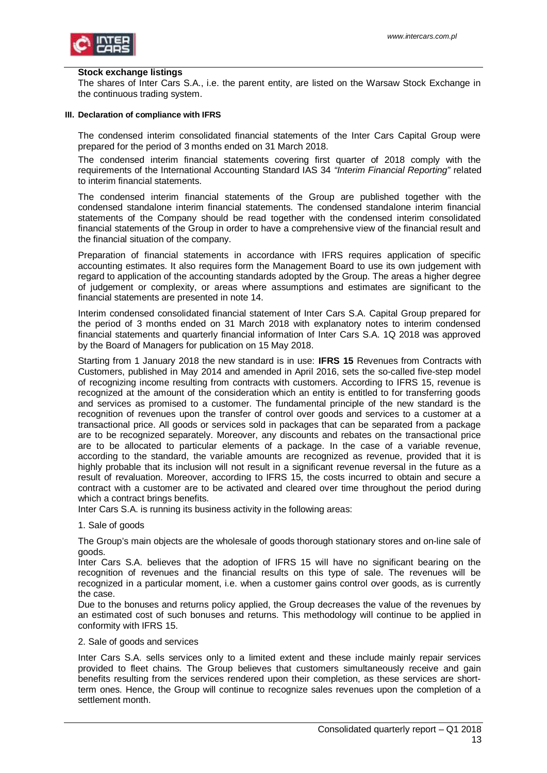#### **Stock exchange listings**

The shares of Inter Cars S.A., i.e. the parent entity, are listed on the Warsaw Stock Exchange in the continuous trading system.

#### <span id="page-12-0"></span>**III. Declaration of compliance with IFRS**

The condensed interim consolidated financial statements of the Inter Cars Capital Group were prepared for the period of 3 months ended on 31 March 2018.

The condensed interim financial statements covering first quarter of 2018 comply with the requirements of the International Accounting Standard IAS 34 *"Interim Financial Reporting"* related to interim financial statements.

The condensed interim financial statements of the Group are published together with the condensed standalone interim financial statements. The condensed standalone interim financial statements of the Company should be read together with the condensed interim consolidated financial statements of the Group in order to have a comprehensive view of the financial result and the financial situation of the company.

Preparation of financial statements in accordance with IFRS requires application of specific accounting estimates. It also requires form the Management Board to use its own judgement with regard to application of the accounting standards adopted by the Group. The areas a higher degree of judgement or complexity, or areas where assumptions and estimates are significant to the financial statements are presented in note 14.

Interim condensed consolidated financial statement of Inter Cars S.A. Capital Group prepared for the period of 3 months ended on 31 March 2018 with explanatory notes to interim condensed financial statements and quarterly financial information of Inter Cars S.A. 1Q 2018 was approved by the Board of Managers for publication on 15 May 2018.

Starting from 1 January 2018 the new standard is in use: **IFRS 15** Revenues from Contracts with Customers, published in May 2014 and amended in April 2016, sets the so-called five-step model of recognizing income resulting from contracts with customers. According to IFRS 15, revenue is recognized at the amount of the consideration which an entity is entitled to for transferring goods and services as promised to a customer. The fundamental principle of the new standard is the recognition of revenues upon the transfer of control over goods and services to a customer at a transactional price. All goods or services sold in packages that can be separated from a package are to be recognized separately. Moreover, any discounts and rebates on the transactional price are to be allocated to particular elements of a package. In the case of a variable revenue, according to the standard, the variable amounts are recognized as revenue, provided that it is highly probable that its inclusion will not result in a significant revenue reversal in the future as a result of revaluation. Moreover, according to IFRS 15, the costs incurred to obtain and secure a contract with a customer are to be activated and cleared over time throughout the period during which a contract brings benefits.

Inter Cars S.A. is running its business activity in the following areas:

1. Sale of goods

The Group's main objects are the wholesale of goods thorough stationary stores and on-line sale of goods.

Inter Cars S.A. believes that the adoption of IFRS 15 will have no significant bearing on the recognition of revenues and the financial results on this type of sale. The revenues will be recognized in a particular moment, i.e. when a customer gains control over goods, as is currently the case.

Due to the bonuses and returns policy applied, the Group decreases the value of the revenues by an estimated cost of such bonuses and returns. This methodology will continue to be applied in conformity with IFRS 15.

#### 2. Sale of goods and services

Inter Cars S.A. sells services only to a limited extent and these include mainly repair services provided to fleet chains. The Group believes that customers simultaneously receive and gain benefits resulting from the services rendered upon their completion, as these services are shortterm ones. Hence, the Group will continue to recognize sales revenues upon the completion of a settlement month.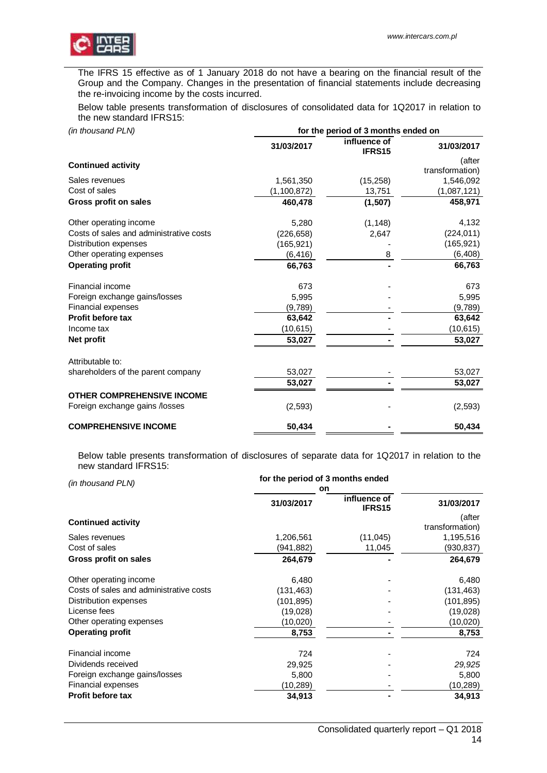

The IFRS 15 effective as of 1 January 2018 do not have a bearing on the financial result of the Group and the Company. Changes in the presentation of financial statements include decreasing the re-invoicing income by the costs incurred.

Below table presents transformation of disclosures of consolidated data for 1Q2017 in relation to the new standard IFRS15:

| (in thousand PLN)                       | for the period of 3 months ended on |                        |                           |  |  |
|-----------------------------------------|-------------------------------------|------------------------|---------------------------|--|--|
|                                         | 31/03/2017                          | influence of<br>IFRS15 | 31/03/2017                |  |  |
| <b>Continued activity</b>               |                                     |                        | (after<br>transformation) |  |  |
| Sales revenues                          | 1,561,350                           | (15, 258)              | 1,546,092                 |  |  |
| Cost of sales                           | (1,100,872)                         | 13,751                 | (1,087,121)               |  |  |
| Gross profit on sales                   | 460,478                             | (1,507)                | 458,971                   |  |  |
| Other operating income                  | 5,280                               | (1, 148)               | 4,132                     |  |  |
| Costs of sales and administrative costs | (226, 658)                          | 2,647                  | (224, 011)                |  |  |
| Distribution expenses                   | (165, 921)                          |                        | (165, 921)                |  |  |
| Other operating expenses                | (6, 416)                            | 8                      | (6, 408)                  |  |  |
| <b>Operating profit</b>                 | 66,763                              |                        | 66,763                    |  |  |
| Financial income                        | 673                                 |                        | 673                       |  |  |
| Foreign exchange gains/losses           | 5,995                               |                        | 5,995                     |  |  |
| Financial expenses                      | (9,789)                             |                        | (9,789)                   |  |  |
| <b>Profit before tax</b>                | 63,642                              |                        | 63,642                    |  |  |
| Income tax                              | (10, 615)                           |                        | (10, 615)                 |  |  |
| Net profit                              | 53,027                              |                        | 53,027                    |  |  |
| Attributable to:                        |                                     |                        |                           |  |  |
| shareholders of the parent company      | 53,027                              |                        | 53,027                    |  |  |
|                                         | 53,027                              |                        | 53,027                    |  |  |
| <b>OTHER COMPREHENSIVE INCOME</b>       |                                     |                        |                           |  |  |
| Foreign exchange gains /losses          | (2, 593)                            |                        | (2, 593)                  |  |  |
| <b>COMPREHENSIVE INCOME</b>             | 50,434                              |                        | 50.434                    |  |  |

Below table presents transformation of disclosures of separate data for 1Q2017 in relation to the new standard IFRS15:

| (in thousand PLN)                       | for the period of 3 months ended |                        |                           |
|-----------------------------------------|----------------------------------|------------------------|---------------------------|
|                                         | on                               |                        |                           |
|                                         | 31/03/2017                       | influence of<br>IFRS15 | 31/03/2017                |
| <b>Continued activity</b>               |                                  |                        | (after<br>transformation) |
| Sales revenues                          | 1,206,561                        | (11,045)               | 1,195,516                 |
| Cost of sales                           | (941,882)                        | 11,045                 | (930,837)                 |
| Gross profit on sales                   | 264,679                          |                        | 264,679                   |
| Other operating income                  | 6,480                            |                        | 6,480                     |
| Costs of sales and administrative costs | (131,463)                        |                        | (131, 463)                |
| Distribution expenses                   | (101, 895)                       |                        | (101, 895)                |
| License fees                            | (19,028)                         |                        | (19,028)                  |
| Other operating expenses                | (10,020)                         |                        | (10,020)                  |
| <b>Operating profit</b>                 | 8,753                            |                        | 8,753                     |
| Financial income                        | 724                              |                        | 724                       |
| Dividends received                      | 29,925                           |                        | 29,925                    |
| Foreign exchange gains/losses           | 5,800                            |                        | 5,800                     |
| Financial expenses                      | (10,289)                         |                        | (10,289)                  |
| <b>Profit before tax</b>                | 34,913                           |                        | 34,913                    |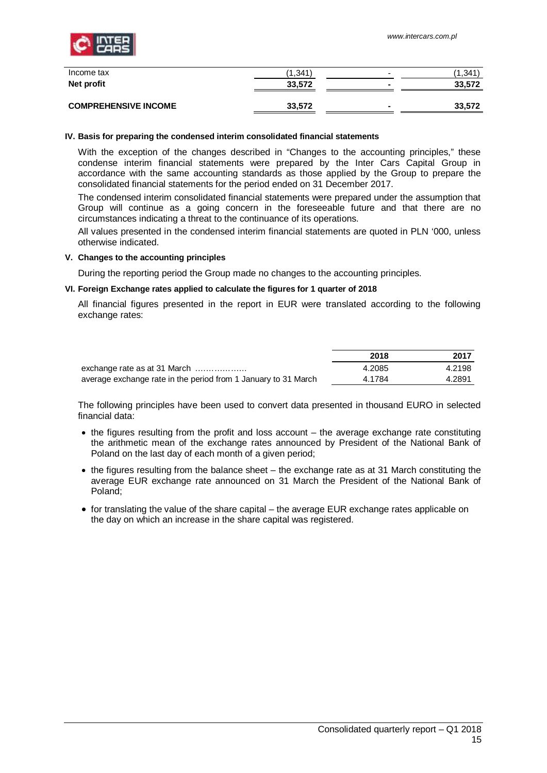

| Income tax<br>Net profit    | (1, 341)<br>33,572 | $\overline{\phantom{a}}$<br>$\overline{\phantom{0}}$ | (1.341)<br>33,572 |
|-----------------------------|--------------------|------------------------------------------------------|-------------------|
|                             |                    |                                                      |                   |
| <b>COMPREHENSIVE INCOME</b> | 33,572             | $\blacksquare$                                       | 33,572            |

#### <span id="page-14-0"></span>**IV. Basis for preparing the condensed interim consolidated financial statements**

With the exception of the changes described in "Changes to the accounting principles," these condense interim financial statements were prepared by the Inter Cars Capital Group in accordance with the same accounting standards as those applied by the Group to prepare the consolidated financial statements for the period ended on 31 December 2017.

The condensed interim consolidated financial statements were prepared under the assumption that Group will continue as a going concern in the foreseeable future and that there are no circumstances indicating a threat to the continuance of its operations.

All values presented in the condensed interim financial statements are quoted in PLN '000, unless otherwise indicated.

#### <span id="page-14-1"></span>**V. Changes to the accounting principles**

During the reporting period the Group made no changes to the accounting principles.

#### <span id="page-14-2"></span>**VI. Foreign Exchange rates applied to calculate the figures for 1 quarter of 2018**

All financial figures presented in the report in EUR were translated according to the following exchange rates:

|                                                                | 2018   | 2017   |
|----------------------------------------------------------------|--------|--------|
| exchange rate as at 31 March                                   | 4.2085 | 4.2198 |
| average exchange rate in the period from 1 January to 31 March | 4.1784 | 4.2891 |

The following principles have been used to convert data presented in thousand EURO in selected financial data:

- · the figures resulting from the profit and loss account the average exchange rate constituting the arithmetic mean of the exchange rates announced by President of the National Bank of Poland on the last day of each month of a given period;
- · the figures resulting from the balance sheet the exchange rate as at 31 March constituting the average EUR exchange rate announced on 31 March the President of the National Bank of Poland;
- · for translating the value of the share capital the average EUR exchange rates applicable on the day on which an increase in the share capital was registered.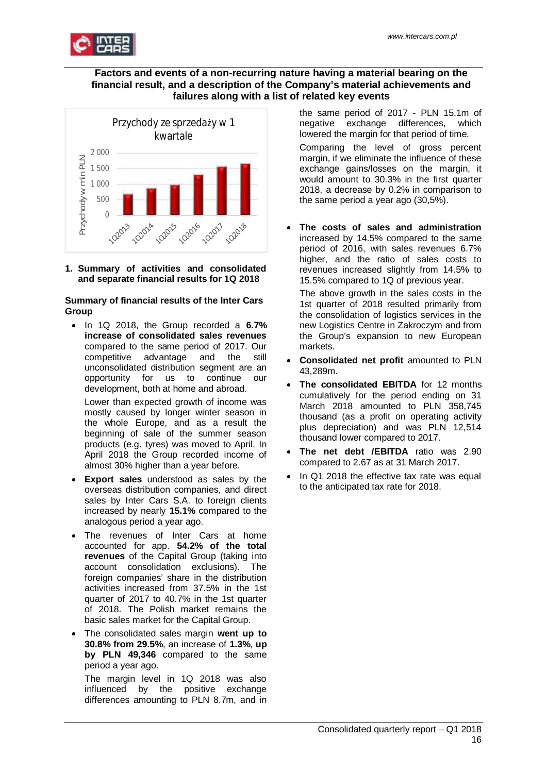

## **Factors and events of a non-recurring nature having a material bearing on the financial result, and a description of the Company's material achievements and failures along with a list of related key events**



<span id="page-15-0"></span>**1. Summary of activities and consolidated and separate financial results for 1Q 2018**

### **Summary of financial results of the Inter Cars Group**

· In 1Q 2018, the Group recorded a **6.7% increase of consolidated sales revenues** compared to the same period of 2017. Our competitive advantage and the still unconsolidated distribution segment are an opportunity for us to continue our development, both at home and abroad.

Lower than expected growth of income was mostly caused by longer winter season in the whole Europe, and as a result the beginning of sale of the summer season products (e.g. tyres) was moved to April. In April 2018 the Group recorded income of almost 30% higher than a year before.

- **Export sales** understood as sales by the overseas distribution companies, and direct sales by Inter Cars S.A. to foreign clients increased by nearly **15.1%** compared to the analogous period a year ago.
- The revenues of Inter Cars at home accounted for app. **54.2% of the total revenues** of the Capital Group (taking into account consolidation exclusions). The foreign companies' share in the distribution activities increased from 37.5% in the 1st quarter of 2017 to 40.7% in the 1st quarter of 2018. The Polish market remains the basic sales market for the Capital Group.
- · The consolidated sales margin **went up to 30.8% from 29.5%**, an increase of **1.3%**, **up by PLN 49,346** compared to the same period a year ago.

The margin level in 1Q 2018 was also influenced by the positive exchange differences amounting to PLN 8.7m, and in

the same period of 2017 - PLN 15.1m of negative exchange differences, which lowered the margin for that period of time.

Comparing the level of gross percent margin, if we eliminate the influence of these exchange gains/losses on the margin, it would amount to 30.3% in the first quarter 2018, a decrease by 0.2% in comparison to the same period a year ago (30,5%).

· **The costs of sales and administration** increased by 14.5% compared to the same period of 2016, with sales revenues 6.7% higher, and the ratio of sales costs to revenues increased slightly from 14.5% to 15.5% compared to 1Q of previous year.

The above growth in the sales costs in the 1st quarter of 2018 resulted primarily from the consolidation of logistics services in the new Logistics Centre in Zakroczym and from the Group's expansion to new European markets.

- · **Consolidated net profit** amounted to PLN 43,289m.
- **The consolidated EBITDA** for 12 months cumulatively for the period ending on 31 March 2018 amounted to PLN 358,745 thousand (as a profit on operating activity plus depreciation) and was PLN 12,514 thousand lower compared to 2017.
- **The net debt /EBITDA** ratio was 2.90 compared to 2.67 as at 31 March 2017.
- In Q1 2018 the effective tax rate was equal to the anticipated tax rate for 2018.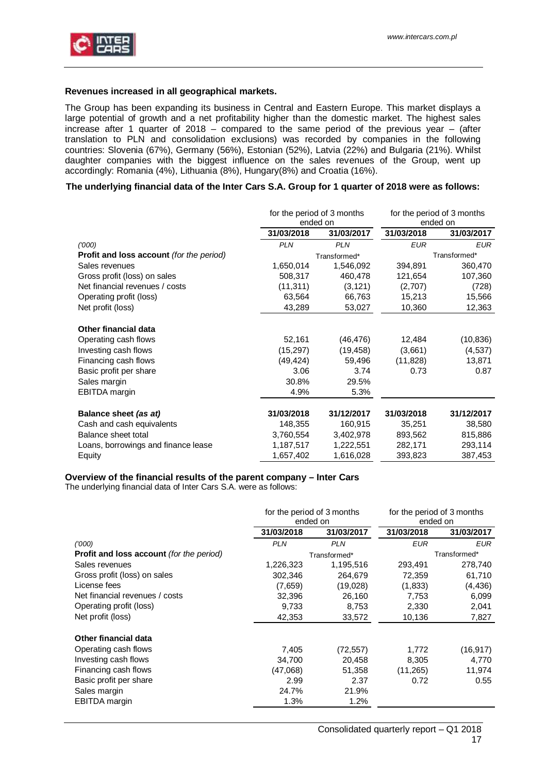

## **Revenues increased in all geographical markets.**

The Group has been expanding its business in Central and Eastern Europe. This market displays a large potential of growth and a net profitability higher than the domestic market. The highest sales increase after 1 quarter of 2018 – compared to the same period of the previous year – (after translation to PLN and consolidation exclusions) was recorded by companies in the following countries: Slovenia (67%), Germany (56%), Estonian (52%), Latvia (22%) and Bulgaria (21%). Whilst daughter companies with the biggest influence on the sales revenues of the Group, went up accordingly: Romania (4%), Lithuania (8%), Hungary(8%) and Croatia (16%).

## **The underlying financial data of the Inter Cars S.A. Group for 1 quarter of 2018 were as follows:**

|                                                 | for the period of 3 months<br>ended on |              | for the period of 3 months<br>ended on |              |
|-------------------------------------------------|----------------------------------------|--------------|----------------------------------------|--------------|
|                                                 | 31/03/2018                             | 31/03/2017   | 31/03/2018                             | 31/03/2017   |
| (000)                                           | <b>PLN</b>                             | <b>PLN</b>   | <b>EUR</b>                             | <b>EUR</b>   |
| <b>Profit and loss account</b> (for the period) |                                        | Transformed* |                                        | Transformed* |
| Sales revenues                                  | 1,650,014                              | 1,546,092    | 394,891                                | 360,470      |
| Gross profit (loss) on sales                    | 508,317                                | 460,478      | 121,654                                | 107,360      |
| Net financial revenues / costs                  | (11, 311)                              | (3, 121)     | (2,707)                                | (728)        |
| Operating profit (loss)                         | 63,564                                 | 66,763       | 15,213                                 | 15,566       |
| Net profit (loss)                               | 43,289                                 | 53,027       | 10,360                                 | 12,363       |
| Other financial data                            |                                        |              |                                        |              |
| Operating cash flows                            | 52,161                                 | (46, 476)    | 12,484                                 | (10, 836)    |
| Investing cash flows                            | (15, 297)                              | (19, 458)    | (3,661)                                | (4, 537)     |
| Financing cash flows                            | (49, 424)                              | 59,496       | (11, 828)                              | 13,871       |
| Basic profit per share                          | 3.06                                   | 3.74         | 0.73                                   | 0.87         |
| Sales margin                                    | 30.8%                                  | 29.5%        |                                        |              |
| <b>EBITDA</b> margin                            | 4.9%                                   | 5.3%         |                                        |              |
| Balance sheet (as at)                           | 31/03/2018                             | 31/12/2017   | 31/03/2018                             | 31/12/2017   |
| Cash and cash equivalents                       | 148,355                                | 160,915      | 35,251                                 | 38,580       |
| Balance sheet total                             | 3,760,554                              | 3,402,978    | 893,562                                | 815,886      |
| Loans, borrowings and finance lease             | 1,187,517                              | 1,222,551    | 282,171                                | 293,114      |
| Equity                                          | 1,657,402                              | 1,616,028    | 393,823                                | 387,453      |

#### **Overview of the financial results of the parent company – Inter Cars**

The underlying financial data of Inter Cars S.A. were as follows:

|                                                 | for the period of 3 months<br>ended on |              | for the period of 3 months<br>ended on |              |
|-------------------------------------------------|----------------------------------------|--------------|----------------------------------------|--------------|
|                                                 | 31/03/2018<br>31/03/2017               |              | 31/03/2018                             | 31/03/2017   |
| (000)                                           | <b>PLN</b>                             | <b>PLN</b>   | <b>EUR</b>                             | <b>EUR</b>   |
| <b>Profit and loss account</b> (for the period) |                                        | Transformed* |                                        | Transformed* |
| Sales revenues                                  | 1,226,323                              | 1,195,516    | 293,491                                | 278,740      |
| Gross profit (loss) on sales                    | 302.346                                | 264,679      | 72,359                                 | 61,710       |
| License fees                                    | (7,659)                                | (19,028)     | (1,833)                                | (4, 436)     |
| Net financial revenues / costs                  | 32,396                                 | 26,160       | 7,753                                  | 6,099        |
| Operating profit (loss)                         | 9,733                                  | 8,753        | 2,330                                  | 2,041        |
| Net profit (loss)                               | 42,353                                 | 33,572       | 10,136                                 | 7,827        |
| Other financial data                            |                                        |              |                                        |              |
| Operating cash flows                            | 7,405                                  | (72, 557)    | 1,772                                  | (16, 917)    |
| Investing cash flows                            | 34,700                                 | 20,458       | 8,305                                  | 4,770        |
| Financing cash flows                            | (47,068)                               | 51,358       | (11, 265)                              | 11,974       |
| Basic profit per share                          | 2.99                                   | 2.37         | 0.72                                   | 0.55         |
| Sales margin                                    | 24.7%                                  | 21.9%        |                                        |              |
| EBITDA margin                                   | 1.3%                                   | $1.2\%$      |                                        |              |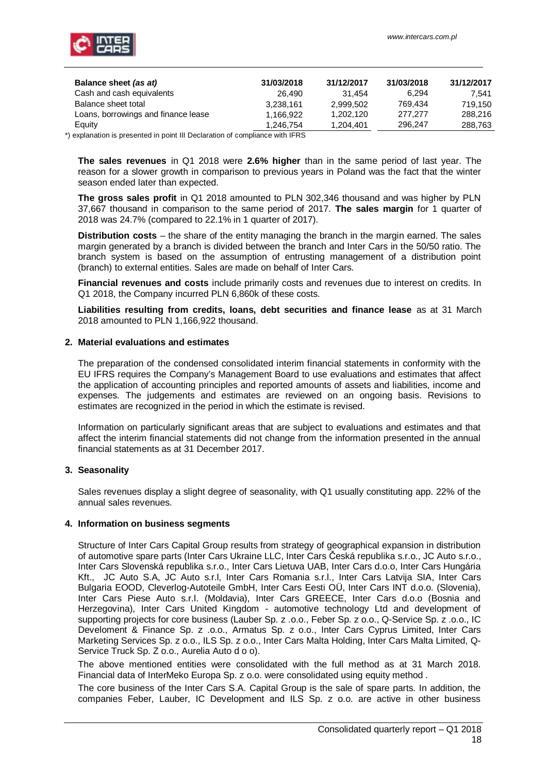| Balance sheet (as at)                                                                                   | 31/03/2018 | 31/12/2017 | 31/03/2018 | 31/12/2017 |
|---------------------------------------------------------------------------------------------------------|------------|------------|------------|------------|
| Cash and cash equivalents                                                                               | 26.490     | 31.454     | 6.294      | 7.541      |
| Balance sheet total                                                                                     | 3.238.161  | 2.999.502  | 769.434    | 719.150    |
| Loans, borrowings and finance lease                                                                     | 1.166.922  | 1.202.120  | 277.277    | 288,216    |
| Equity                                                                                                  | 1.246.754  | 1.204.401  | 296.247    | 288,763    |
| the contract of the construction of the HILID state of the construction of the Constitution of the HEDO |            |            |            |            |

\*) explanation is presented in point III Declaration of compliance with IFRS

**The sales revenues** in Q1 2018 were **2.6% higher** than in the same period of last year. The reason for a slower growth in comparison to previous years in Poland was the fact that the winter season ended later than expected.

**The gross sales profit** in Q1 2018 amounted to PLN 302,346 thousand and was higher by PLN 37,667 thousand in comparison to the same period of 2017. **The sales margin** for 1 quarter of 2018 was 24.7% (compared to 22.1% in 1 quarter of 2017).

**Distribution costs** – the share of the entity managing the branch in the margin earned. The sales margin generated by a branch is divided between the branch and Inter Cars in the 50/50 ratio. The branch system is based on the assumption of entrusting management of a distribution point (branch) to external entities. Sales are made on behalf of Inter Cars.

**Financial revenues and costs** include primarily costs and revenues due to interest on credits. In Q1 2018, the Company incurred PLN 6,860k of these costs.

**Liabilities resulting from credits, loans, debt securities and finance lease** as at 31 March 2018 amounted to PLN 1,166,922 thousand.

### <span id="page-17-0"></span>**2. Material evaluations and estimates**

The preparation of the condensed consolidated interim financial statements in conformity with the EU IFRS requires the Company's Management Board to use evaluations and estimates that affect the application of accounting principles and reported amounts of assets and liabilities, income and expenses. The judgements and estimates are reviewed on an ongoing basis. Revisions to estimates are recognized in the period in which the estimate is revised.

Information on particularly significant areas that are subject to evaluations and estimates and that affect the interim financial statements did not change from the information presented in the annual financial statements as at 31 December 2017.

## <span id="page-17-1"></span>**3. Seasonality**

Sales revenues display a slight degree of seasonality, with Q1 usually constituting app. 22% of the annual sales revenues.

#### <span id="page-17-2"></span>**4. Information on business segments**

Structure of Inter Cars Capital Group results from strategy of geographical expansion in distribution of automotive spare parts (Inter Cars Ukraine LLC, Inter Cars Česká republika s.r.o., JC Auto s.r.o., Inter Cars Slovenská republika s.r.o., Inter Cars Lietuva UAB, Inter Cars d.o.o, Inter Cars Hungária Kft., JC Auto S.A, JC Auto s.r.l, Inter Cars Romania s.r.l., Inter Cars Latvija SIA, Inter Cars Bulgaria EOOD, Cleverlog-Autoteile GmbH, Inter Cars Eesti OÜ, Inter Cars INT d.o.o. (Slovenia), Inter Cars Piese Auto s.r.l. (Moldavia), Inter Cars GREECE, Inter Cars d.o.o (Bosnia and Herzegovina), Inter Cars United Kingdom - automotive technology Ltd and development of supporting projects for core business (Lauber Sp. z .o.o., Feber Sp. z o.o., Q-Service Sp. z .o.o., IC Develoment & Finance Sp. z .o.o., Armatus Sp. z o.o., Inter Cars Cyprus Limited, Inter Cars Marketing Services Sp. z o.o., ILS Sp. z o.o., Inter Cars Malta Holding, Inter Cars Malta Limited, Q-Service Truck Sp. Z o.o., Aurelia Auto d o o).

The above mentioned entities were consolidated with the full method as at 31 March 2018. Financial data of InterMeko Europa Sp. z o.o. were consolidated using equity method.

The core business of the Inter Cars S.A. Capital Group is the sale of spare parts. In addition, the companies Feber, Lauber, IC Development and ILS Sp. z o.o. are active in other business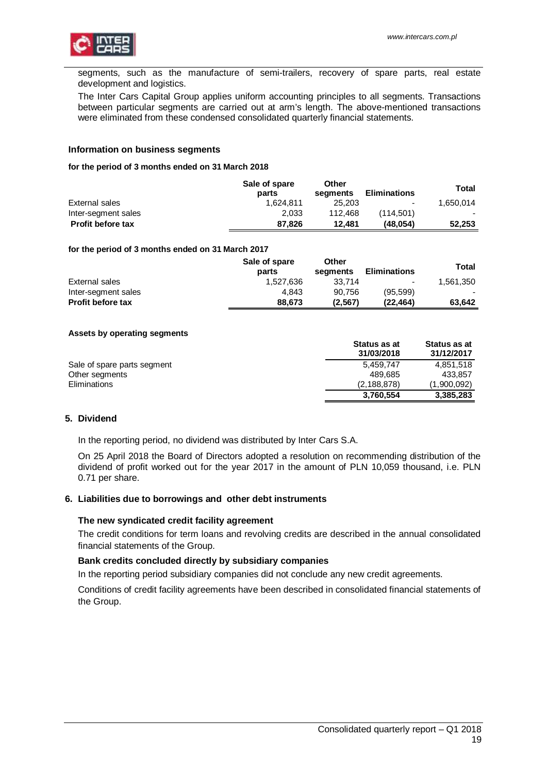

segments, such as the manufacture of semi-trailers, recovery of spare parts, real estate development and logistics.

The Inter Cars Capital Group applies uniform accounting principles to all segments. Transactions between particular segments are carried out at arm's length. The above-mentioned transactions were eliminated from these condensed consolidated quarterly financial statements.

## **Information on business segments**

#### **for the period of 3 months ended on 31 March 2018**

|                          | Sale of spare<br>parts | Other<br>seaments | <b>Eliminations</b> | Total     |
|--------------------------|------------------------|-------------------|---------------------|-----------|
| External sales           | 1.624.811              | 25,203            | $\sim$              | 1.650.014 |
| Inter-segment sales      | 2.033                  | 112.468           | (114.501)           |           |
| <b>Profit before tax</b> | 87.826                 | 12.481            | (48.054)            | 52,253    |

#### **for the period of 3 months ended on 31 March 2017**

|                          | Sale of spare<br>parts | Other<br>seaments | <b>Eliminations</b> | Total     |
|--------------------------|------------------------|-------------------|---------------------|-----------|
| External sales           | 1.527.636              | 33.714            | $\blacksquare$      | 1.561.350 |
| Inter-segment sales      | 4.843                  | 90.756            | (95, 599)           |           |
| <b>Profit before tax</b> | 88,673                 | (2,567)           | (22.464)            | 63.642    |

#### **Assets by operating segments**

|                             | Status as at<br>31/03/2018 | Status as at<br>31/12/2017 |
|-----------------------------|----------------------------|----------------------------|
| Sale of spare parts segment | 5.459.747                  | 4.851.518                  |
| Other segments              | 489.685                    | 433.857                    |
| Eliminations                | (2, 188, 878)              | (1,900,092)                |
|                             | 3,760,554                  | 3,385,283                  |

#### <span id="page-18-0"></span>**5. Dividend**

In the reporting period, no dividend was distributed by Inter Cars S.A.

On 25 April 2018 the Board of Directors adopted a resolution on recommending distribution of the dividend of profit worked out for the year 2017 in the amount of PLN 10,059 thousand, i.e. PLN 0.71 per share.

#### <span id="page-18-1"></span>**6. Liabilities due to borrowings and other debt instruments**

#### **The new syndicated credit facility agreement**

The credit conditions for term loans and revolving credits are described in the annual consolidated financial statements of the Group.

#### **Bank credits concluded directly by subsidiary companies**

In the reporting period subsidiary companies did not conclude any new credit agreements.

Conditions of credit facility agreements have been described in consolidated financial statements of the Group.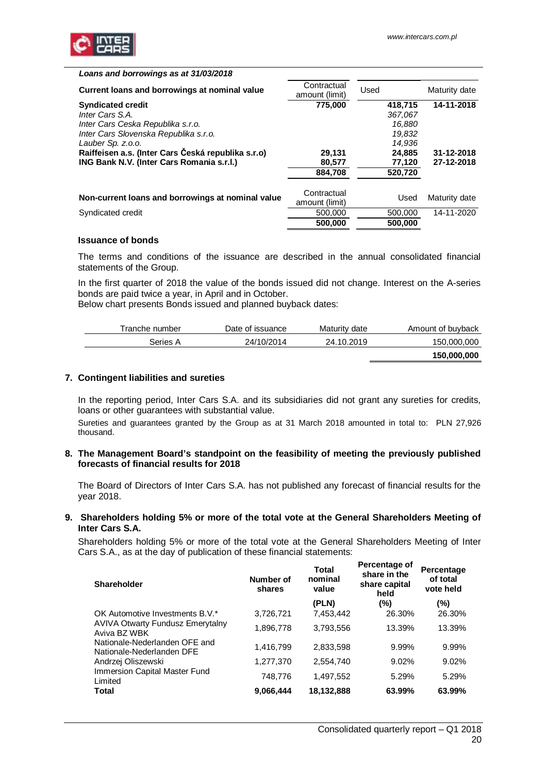

| Loans and borrowings as at 31/03/2018              |                               |         |               |
|----------------------------------------------------|-------------------------------|---------|---------------|
| Current loans and borrowings at nominal value      | Contractual<br>amount (limit) | Used    | Maturity date |
| <b>Syndicated credit</b>                           | 775.000                       | 418.715 | 14-11-2018    |
| Inter Cars S.A.                                    |                               | 367,067 |               |
| Inter Cars Ceska Republika s.r.o.                  |                               | 16,880  |               |
| Inter Cars Slovenska Republika s.r.o.              |                               | 19,832  |               |
| Lauber Sp. z.o.o.                                  |                               | 14.936  |               |
| Raiffeisen a.s. (Inter Cars Česká republika s.r.o) | 29,131                        | 24,885  | 31-12-2018    |
| <b>ING Bank N.V. (Inter Cars Romania s.r.l.)</b>   | 80,577                        | 77,120  | 27-12-2018    |
|                                                    | 884.708                       | 520.720 |               |
|                                                    |                               |         |               |
| Non-current loans and borrowings at nominal value  | Contractual                   | Used    | Maturity date |
|                                                    | amount (limit)                |         |               |
| Syndicated credit                                  | 500,000                       | 500,000 | 14-11-2020    |
|                                                    | 500.000                       | 500,000 |               |

#### **Issuance of bonds**

The terms and conditions of the issuance are described in the annual consolidated financial statements of the Group.

In the first quarter of 2018 the value of the bonds issued did not change. Interest on the A-series bonds are paid twice a year, in April and in October.

Below chart presents Bonds issued and planned buyback dates:

| Tranche number | Date of issuance | Maturity date | Amount of buyback |
|----------------|------------------|---------------|-------------------|
| Series A       | 24/10/2014       | 24.10.2019    | 150,000,000       |
|                |                  |               | 150,000,000       |

#### <span id="page-19-0"></span>**7. Contingent liabilities and sureties**

In the reporting period, Inter Cars S.A. and its subsidiaries did not grant any sureties for credits, loans or other guarantees with substantial value.

Sureties and guarantees granted by the Group as at 31 March 2018 amounted in total to: PLN 27,926 thousand.

#### <span id="page-19-1"></span>**8. The Management Board's standpoint on the feasibility of meeting the previously published forecasts of financial results for 2018**

The Board of Directors of Inter Cars S.A. has not published any forecast of financial results for the year 2018.

#### <span id="page-19-2"></span>**9. Shareholders holding 5% or more of the total vote at the General Shareholders Meeting of Inter Cars S.A.**

Shareholders holding 5% or more of the total vote at the General Shareholders Meeting of Inter Cars S.A., as at the day of publication of these financial statements:

| Shareholder                                                | Number of<br>shares | <b>Total</b><br>nominal<br>value | Percentage of<br>share in the<br>share capital<br>held | Percentage<br>of total<br>vote held |
|------------------------------------------------------------|---------------------|----------------------------------|--------------------------------------------------------|-------------------------------------|
|                                                            |                     | (PLN)                            | $(\%)$                                                 | $(\%)$                              |
| OK Automotive Investments B.V.*                            | 3,726,721           | 7,453,442                        | 26.30%                                                 | 26.30%                              |
| AVIVA Otwarty Fundusz Emerytalny<br>Aviva BZ WBK           | 1,896,778           | 3,793,556                        | 13.39%                                                 | 13.39%                              |
| Nationale-Nederlanden OFE and<br>Nationale-Nederlanden DFE | 1,416,799           | 2,833,598                        | 9.99%                                                  | 9.99%                               |
| Andrzej Oliszewski                                         | 1,277,370           | 2,554,740                        | 9.02%                                                  | 9.02%                               |
| Immersion Capital Master Fund<br>Limited                   | 748,776             | 1.497.552                        | 5.29%                                                  | 5.29%                               |
| Total                                                      | 9.066,444           | 18,132,888                       | 63.99%                                                 | 63.99%                              |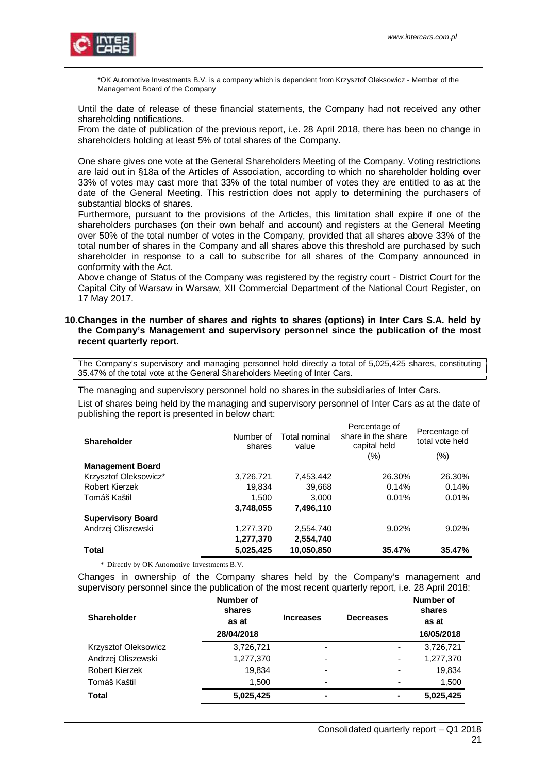

\*OK Automotive Investments B.V. is a company which is dependent from Krzysztof Oleksowicz - Member of the Management Board of the Company

Until the date of release of these financial statements, the Company had not received any other shareholding notifications.

From the date of publication of the previous report, i.e. 28 April 2018, there has been no change in shareholders holding at least 5% of total shares of the Company.

One share gives one vote at the General Shareholders Meeting of the Company. Voting restrictions are laid out in §18a of the Articles of Association, according to which no shareholder holding over 33% of votes may cast more that 33% of the total number of votes they are entitled to as at the date of the General Meeting. This restriction does not apply to determining the purchasers of substantial blocks of shares.

Furthermore, pursuant to the provisions of the Articles, this limitation shall expire if one of the shareholders purchases (on their own behalf and account) and registers at the General Meeting over 50% of the total number of votes in the Company, provided that all shares above 33% of the total number of shares in the Company and all shares above this threshold are purchased by such shareholder in response to a call to subscribe for all shares of the Company announced in conformity with the Act.

Above change of Status of the Company was registered by the registry court - District Court for the Capital City of Warsaw in Warsaw, XII Commercial Department of the National Court Register, on 17 May 2017.

#### <span id="page-20-0"></span>**10. Changes in the number of shares and rights to shares (options) in Inter Cars S.A. held by the Company's Management and supervisory personnel since the publication of the most recent quarterly report.**

The Company's supervisory and managing personnel hold directly a total of 5,025,425 shares, constituting 35.47% of the total vote at the General Shareholders Meeting of Inter Cars.

The managing and supervisory personnel hold no shares in the subsidiaries of Inter Cars.

List of shares being held by the managing and supervisory personnel of Inter Cars as at the date of publishing the report is presented in below chart:

| <b>Shareholder</b>       | Number of<br>shares | Total nominal<br>value | Percentage of<br>share in the share<br>capital held<br>(%) | Percentage of<br>total vote held<br>$(\% )$ |
|--------------------------|---------------------|------------------------|------------------------------------------------------------|---------------------------------------------|
| <b>Management Board</b>  |                     |                        |                                                            |                                             |
| Krzysztof Oleksowicz*    | 3,726,721           | 7,453,442              | 26.30%                                                     | 26.30%                                      |
| Robert Kierzek           | 19,834              | 39,668                 | 0.14%                                                      | 0.14%                                       |
| Tomáš Kaštil             | 1,500               | 3,000                  | 0.01%                                                      | 0.01%                                       |
|                          | 3,748,055           | 7,496,110              |                                                            |                                             |
| <b>Supervisory Board</b> |                     |                        |                                                            |                                             |
| Andrzej Oliszewski       | 1,277,370           | 2,554,740              | 9.02%                                                      | 9.02%                                       |
|                          | 1,277,370           | 2,554,740              |                                                            |                                             |
| <b>Total</b>             | 5,025,425           | 10,050,850             | 35.47%                                                     | 35.47%                                      |

\* Directly by OK Automotive Investments B.V.

Changes in ownership of the Company shares held by the Company's management and supervisory personnel since the publication of the most recent quarterly report, i.e. 28 April 2018:

| <b>Shareholder</b>   | Number of<br>shares<br>as at<br>28/04/2018 | <b>Increases</b>         | <b>Decreases</b> | Number of<br>shares<br>as at<br>16/05/2018 |
|----------------------|--------------------------------------------|--------------------------|------------------|--------------------------------------------|
| Krzysztof Oleksowicz | 3,726,721                                  | ٠                        |                  | 3,726,721<br>-                             |
| Andrzej Oliszewski   | 1,277,370                                  | -                        |                  | 1,277,370<br>-                             |
| Robert Kierzek       | 19,834                                     | ٠                        |                  | 19,834<br>٠                                |
| Tomáš Kaštil         | 1.500                                      | $\overline{\phantom{0}}$ |                  | 1,500<br>$\overline{\phantom{0}}$          |
| <b>Total</b>         | 5,025,425                                  | $\blacksquare$           |                  | 5.025,425                                  |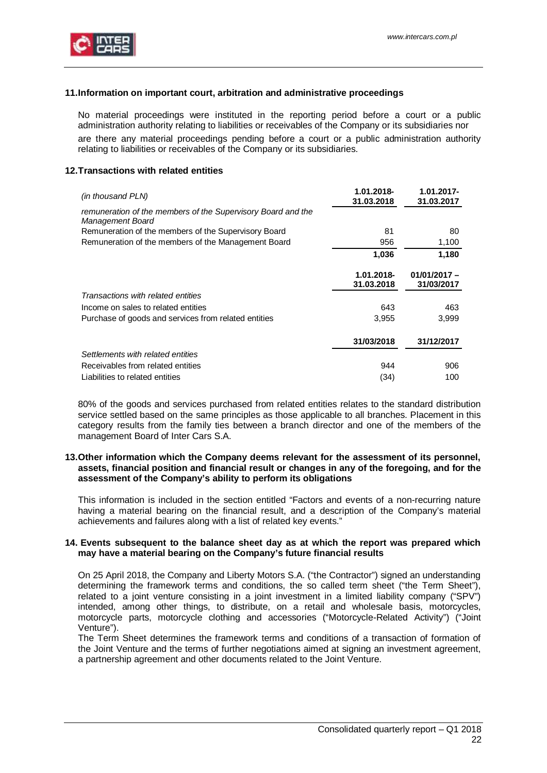

## <span id="page-21-0"></span>**11. Information on important court, arbitration and administrative proceedings**

No material proceedings were instituted in the reporting period before a court or a public administration authority relating to liabilities or receivables of the Company or its subsidiaries nor are there any material proceedings pending before a court or a public administration authority relating to liabilities or receivables of the Company or its subsidiaries.

## <span id="page-21-1"></span>**12. Transactions with related entities**

| (in thousand PLN)                                                                       | 1.01.2018-<br>31.03.2018 | $1.01.2017 -$<br>31.03.2017  |
|-----------------------------------------------------------------------------------------|--------------------------|------------------------------|
| remuneration of the members of the Supervisory Board and the<br><b>Management Board</b> |                          |                              |
| Remuneration of the members of the Supervisory Board                                    | 81                       | 80                           |
| Remuneration of the members of the Management Board                                     | 956                      | 1,100                        |
|                                                                                         | 1,036                    | 1,180                        |
|                                                                                         | 1.01.2018-<br>31.03.2018 | $01/01/2017 -$<br>31/03/2017 |
| Transactions with related entities                                                      |                          |                              |
| Income on sales to related entities                                                     | 643                      | 463                          |
| Purchase of goods and services from related entities                                    | 3,955                    | 3,999                        |
|                                                                                         | 31/03/2018               | 31/12/2017                   |
| Settlements with related entities                                                       |                          |                              |
| Receivables from related entities                                                       | 944                      | 906                          |
| Liabilities to related entities                                                         | (34)                     | 100                          |

80% of the goods and services purchased from related entities relates to the standard distribution service settled based on the same principles as those applicable to all branches. Placement in this category results from the family ties between a branch director and one of the members of the management Board of Inter Cars S.A.

#### <span id="page-21-2"></span>**13. Other information which the Company deems relevant for the assessment of its personnel, assets, financial position and financial result or changes in any of the foregoing, and for the assessment of the Company's ability to perform its obligations**

This information is included in the section entitled "Factors and events of a non-recurring nature having a material bearing on the financial result, and a description of the Company's material achievements and failures along with a list of related key events."

#### <span id="page-21-3"></span>**14. Events subsequent to the balance sheet day as at which the report was prepared which may have a material bearing on the Company's future financial results**

On 25 April 2018, the Company and Liberty Motors S.A. ("the Contractor") signed an understanding determining the framework terms and conditions, the so called term sheet ("the Term Sheet"), related to a joint venture consisting in a joint investment in a limited liability company ("SPV") intended, among other things, to distribute, on a retail and wholesale basis, motorcycles, motorcycle parts, motorcycle clothing and accessories ("Motorcycle-Related Activity") ("Joint Venture").

The Term Sheet determines the framework terms and conditions of a transaction of formation of the Joint Venture and the terms of further negotiations aimed at signing an investment agreement, a partnership agreement and other documents related to the Joint Venture.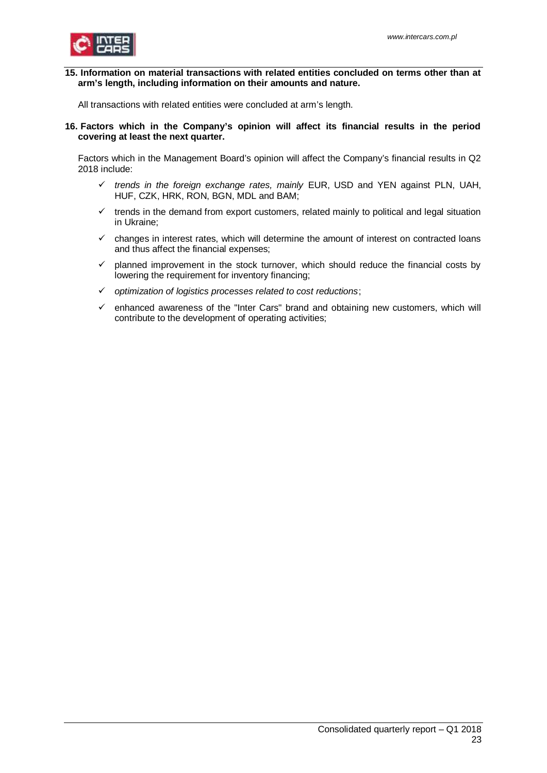

<span id="page-22-0"></span>**15. Information on material transactions with related entities concluded on terms other than at arm's length, including information on their amounts and nature.**

All transactions with related entities were concluded at arm's length.

<span id="page-22-1"></span>**16. Factors which in the Company's opinion will affect its financial results in the period covering at least the next quarter.**

Factors which in the Management Board's opinion will affect the Company's financial results in Q2 2018 include:

- ü *trends in the foreign exchange rates, mainly* EUR, USD and YEN against PLN, UAH, HUF, CZK, HRK, RON, BGN, MDL and BAM;
- $\checkmark$  trends in the demand from export customers, related mainly to political and legal situation in Ukraine;
- $\checkmark$  changes in interest rates, which will determine the amount of interest on contracted loans and thus affect the financial expenses;
- $\checkmark$  planned improvement in the stock turnover, which should reduce the financial costs by lowering the requirement for inventory financing;
- ü *optimization of logistics processes related to cost reductions*;
- $\checkmark$  enhanced awareness of the "Inter Cars" brand and obtaining new customers, which will contribute to the development of operating activities;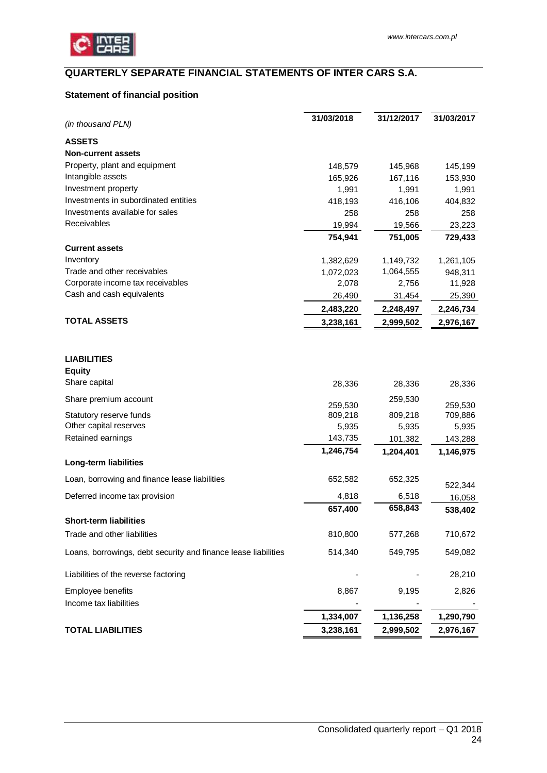

## <span id="page-23-0"></span>**QUARTERLY SEPARATE FINANCIAL STATEMENTS OF INTER CARS S.A.**

## <span id="page-23-1"></span>**Statement of financial position**

| <b>ASSETS</b><br><b>Non-current assets</b><br>Property, plant and equipment<br>148,579<br>145,968<br>Intangible assets<br>165,926<br>167,116<br>Investment property<br>1,991<br>1,991<br>Investments in subordinated entities<br>418,193<br>416,106<br>Investments available for sales<br>258<br>258<br>Receivables<br>19,994<br>19,566<br>754,941<br>751,005<br><b>Current assets</b><br>Inventory<br>1,382,629<br>1,149,732<br>Trade and other receivables<br>1,064,555<br>1,072,023<br>Corporate income tax receivables<br>2,078<br>2,756<br>Cash and cash equivalents<br>26,490<br>31,454<br>2,483,220<br>2,248,497<br><b>TOTAL ASSETS</b><br>3,238,161<br>2,999,502<br><b>LIABILITIES</b><br><b>Equity</b><br>Share capital<br>28,336<br>28,336<br>Share premium account<br>259,530<br>259,530<br>259,530<br>809,218<br>Statutory reserve funds<br>809,218<br>Other capital reserves<br>5,935<br>5,935<br>Retained earnings<br>143,735<br>101,382<br>1,246,754<br>1,204,401<br>Long-term liabilities<br>Loan, borrowing and finance lease liabilities<br>652,582<br>652,325 | (in thousand PLN) | 31/03/2018 | 31/12/2017 | 31/03/2017 |
|----------------------------------------------------------------------------------------------------------------------------------------------------------------------------------------------------------------------------------------------------------------------------------------------------------------------------------------------------------------------------------------------------------------------------------------------------------------------------------------------------------------------------------------------------------------------------------------------------------------------------------------------------------------------------------------------------------------------------------------------------------------------------------------------------------------------------------------------------------------------------------------------------------------------------------------------------------------------------------------------------------------------------------------------------------------------------------|-------------------|------------|------------|------------|
|                                                                                                                                                                                                                                                                                                                                                                                                                                                                                                                                                                                                                                                                                                                                                                                                                                                                                                                                                                                                                                                                                  |                   |            |            |            |
|                                                                                                                                                                                                                                                                                                                                                                                                                                                                                                                                                                                                                                                                                                                                                                                                                                                                                                                                                                                                                                                                                  |                   |            |            |            |
|                                                                                                                                                                                                                                                                                                                                                                                                                                                                                                                                                                                                                                                                                                                                                                                                                                                                                                                                                                                                                                                                                  |                   |            |            | 145,199    |
|                                                                                                                                                                                                                                                                                                                                                                                                                                                                                                                                                                                                                                                                                                                                                                                                                                                                                                                                                                                                                                                                                  |                   |            |            | 153,930    |
|                                                                                                                                                                                                                                                                                                                                                                                                                                                                                                                                                                                                                                                                                                                                                                                                                                                                                                                                                                                                                                                                                  |                   |            |            | 1,991      |
|                                                                                                                                                                                                                                                                                                                                                                                                                                                                                                                                                                                                                                                                                                                                                                                                                                                                                                                                                                                                                                                                                  |                   |            |            | 404,832    |
|                                                                                                                                                                                                                                                                                                                                                                                                                                                                                                                                                                                                                                                                                                                                                                                                                                                                                                                                                                                                                                                                                  |                   |            |            | 258        |
|                                                                                                                                                                                                                                                                                                                                                                                                                                                                                                                                                                                                                                                                                                                                                                                                                                                                                                                                                                                                                                                                                  |                   |            |            | 23,223     |
|                                                                                                                                                                                                                                                                                                                                                                                                                                                                                                                                                                                                                                                                                                                                                                                                                                                                                                                                                                                                                                                                                  |                   |            |            | 729,433    |
|                                                                                                                                                                                                                                                                                                                                                                                                                                                                                                                                                                                                                                                                                                                                                                                                                                                                                                                                                                                                                                                                                  |                   |            |            |            |
|                                                                                                                                                                                                                                                                                                                                                                                                                                                                                                                                                                                                                                                                                                                                                                                                                                                                                                                                                                                                                                                                                  |                   |            |            | 1,261,105  |
|                                                                                                                                                                                                                                                                                                                                                                                                                                                                                                                                                                                                                                                                                                                                                                                                                                                                                                                                                                                                                                                                                  |                   |            |            | 948,311    |
|                                                                                                                                                                                                                                                                                                                                                                                                                                                                                                                                                                                                                                                                                                                                                                                                                                                                                                                                                                                                                                                                                  |                   |            |            | 11,928     |
|                                                                                                                                                                                                                                                                                                                                                                                                                                                                                                                                                                                                                                                                                                                                                                                                                                                                                                                                                                                                                                                                                  |                   |            |            | 25,390     |
|                                                                                                                                                                                                                                                                                                                                                                                                                                                                                                                                                                                                                                                                                                                                                                                                                                                                                                                                                                                                                                                                                  |                   |            |            | 2,246,734  |
|                                                                                                                                                                                                                                                                                                                                                                                                                                                                                                                                                                                                                                                                                                                                                                                                                                                                                                                                                                                                                                                                                  |                   |            |            | 2,976,167  |
|                                                                                                                                                                                                                                                                                                                                                                                                                                                                                                                                                                                                                                                                                                                                                                                                                                                                                                                                                                                                                                                                                  |                   |            |            |            |
|                                                                                                                                                                                                                                                                                                                                                                                                                                                                                                                                                                                                                                                                                                                                                                                                                                                                                                                                                                                                                                                                                  |                   |            |            |            |
|                                                                                                                                                                                                                                                                                                                                                                                                                                                                                                                                                                                                                                                                                                                                                                                                                                                                                                                                                                                                                                                                                  |                   |            |            | 28,336     |
|                                                                                                                                                                                                                                                                                                                                                                                                                                                                                                                                                                                                                                                                                                                                                                                                                                                                                                                                                                                                                                                                                  |                   |            |            |            |
|                                                                                                                                                                                                                                                                                                                                                                                                                                                                                                                                                                                                                                                                                                                                                                                                                                                                                                                                                                                                                                                                                  |                   |            |            | 709,886    |
|                                                                                                                                                                                                                                                                                                                                                                                                                                                                                                                                                                                                                                                                                                                                                                                                                                                                                                                                                                                                                                                                                  |                   |            |            | 5,935      |
|                                                                                                                                                                                                                                                                                                                                                                                                                                                                                                                                                                                                                                                                                                                                                                                                                                                                                                                                                                                                                                                                                  |                   |            |            | 143,288    |
|                                                                                                                                                                                                                                                                                                                                                                                                                                                                                                                                                                                                                                                                                                                                                                                                                                                                                                                                                                                                                                                                                  |                   |            |            | 1,146,975  |
|                                                                                                                                                                                                                                                                                                                                                                                                                                                                                                                                                                                                                                                                                                                                                                                                                                                                                                                                                                                                                                                                                  |                   |            |            |            |
|                                                                                                                                                                                                                                                                                                                                                                                                                                                                                                                                                                                                                                                                                                                                                                                                                                                                                                                                                                                                                                                                                  |                   |            |            | 522,344    |
| Deferred income tax provision<br>4,818<br>6,518                                                                                                                                                                                                                                                                                                                                                                                                                                                                                                                                                                                                                                                                                                                                                                                                                                                                                                                                                                                                                                  |                   |            |            | 16,058     |
| 658,843<br>657,400                                                                                                                                                                                                                                                                                                                                                                                                                                                                                                                                                                                                                                                                                                                                                                                                                                                                                                                                                                                                                                                               |                   |            |            | 538,402    |
| <b>Short-term liabilities</b>                                                                                                                                                                                                                                                                                                                                                                                                                                                                                                                                                                                                                                                                                                                                                                                                                                                                                                                                                                                                                                                    |                   |            |            |            |
| Trade and other liabilities<br>810,800<br>577,268                                                                                                                                                                                                                                                                                                                                                                                                                                                                                                                                                                                                                                                                                                                                                                                                                                                                                                                                                                                                                                |                   |            |            | 710,672    |
| Loans, borrowings, debt security and finance lease liabilities<br>514,340<br>549,795                                                                                                                                                                                                                                                                                                                                                                                                                                                                                                                                                                                                                                                                                                                                                                                                                                                                                                                                                                                             |                   |            |            | 549,082    |
| Liabilities of the reverse factoring                                                                                                                                                                                                                                                                                                                                                                                                                                                                                                                                                                                                                                                                                                                                                                                                                                                                                                                                                                                                                                             |                   |            |            | 28,210     |
| Employee benefits<br>8,867<br>9,195                                                                                                                                                                                                                                                                                                                                                                                                                                                                                                                                                                                                                                                                                                                                                                                                                                                                                                                                                                                                                                              |                   |            |            | 2,826      |
| Income tax liabilities                                                                                                                                                                                                                                                                                                                                                                                                                                                                                                                                                                                                                                                                                                                                                                                                                                                                                                                                                                                                                                                           |                   |            |            |            |
| 1,334,007<br>1,136,258                                                                                                                                                                                                                                                                                                                                                                                                                                                                                                                                                                                                                                                                                                                                                                                                                                                                                                                                                                                                                                                           |                   |            |            | 1,290,790  |
| 3,238,161<br><b>TOTAL LIABILITIES</b><br>2,999,502                                                                                                                                                                                                                                                                                                                                                                                                                                                                                                                                                                                                                                                                                                                                                                                                                                                                                                                                                                                                                               |                   |            |            | 2,976,167  |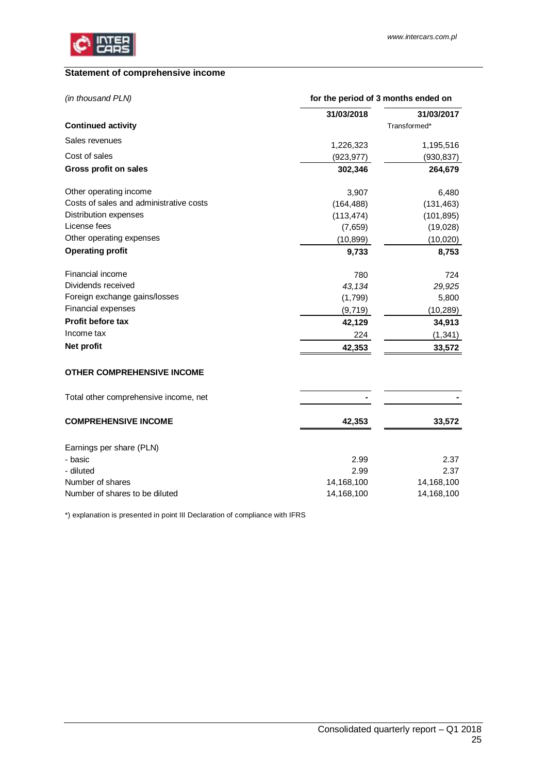

## <span id="page-24-0"></span>**Statement of comprehensive income**

| (in thousand PLN)                       | for the period of 3 months ended on |              |  |
|-----------------------------------------|-------------------------------------|--------------|--|
|                                         | 31/03/2018                          | 31/03/2017   |  |
| <b>Continued activity</b>               |                                     | Transformed* |  |
| Sales revenues                          | 1,226,323                           | 1,195,516    |  |
| Cost of sales                           | (923, 977)                          | (930, 837)   |  |
| Gross profit on sales                   | 302,346                             | 264,679      |  |
| Other operating income                  | 3,907                               | 6,480        |  |
| Costs of sales and administrative costs | (164, 488)                          | (131, 463)   |  |
| <b>Distribution expenses</b>            | (113, 474)                          | (101, 895)   |  |
| License fees                            | (7,659)                             | (19,028)     |  |
| Other operating expenses                | (10, 899)                           | (10,020)     |  |
| <b>Operating profit</b>                 | 9,733                               | 8,753        |  |
| Financial income                        | 780                                 | 724          |  |
| Dividends received                      | 43,134                              | 29,925       |  |
| Foreign exchange gains/losses           | (1,799)                             | 5,800        |  |
| Financial expenses                      | (9,719)                             | (10, 289)    |  |
| <b>Profit before tax</b>                | 42,129                              | 34,913       |  |
| Income tax                              | 224                                 | (1, 341)     |  |
| Net profit                              | 42,353                              | 33,572       |  |
| <b>OTHER COMPREHENSIVE INCOME</b>       |                                     |              |  |
| Total other comprehensive income, net   |                                     |              |  |
| <b>COMPREHENSIVE INCOME</b>             | 42,353                              | 33,572       |  |
| Earnings per share (PLN)                |                                     |              |  |
| - basic                                 | 2.99                                | 2.37         |  |
| - diluted                               | 2.99                                | 2.37         |  |
| Number of shares                        | 14,168,100                          | 14,168,100   |  |
| Number of shares to be diluted          | 14,168,100                          | 14,168,100   |  |

\*) explanation is presented in point III Declaration of compliance with IFRS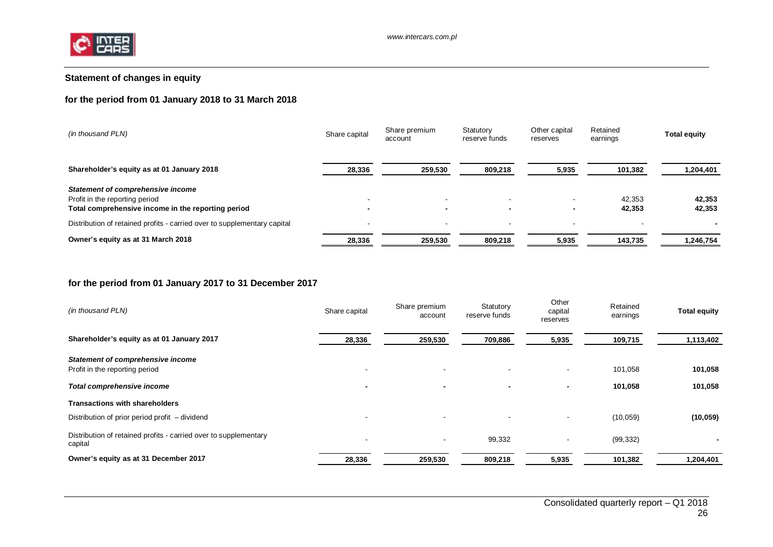

## <span id="page-25-0"></span>**Statement of changes in equity**

## **for the period from 01 January 2018 to 31 March 2018**

| (in thousand PLN)                                                        | Share capital            | Share premium<br>account | Statutory<br>reserve funds | Other capital<br>reserves | Retained<br>earnings | <b>Total equity</b> |
|--------------------------------------------------------------------------|--------------------------|--------------------------|----------------------------|---------------------------|----------------------|---------------------|
| Shareholder's equity as at 01 January 2018                               | 28,336                   | 259,530                  | 809,218                    | 5,935                     | 101,382              | 1,204,401           |
| Statement of comprehensive income<br>Profit in the reporting period      | $\overline{\phantom{a}}$ | $\overline{\phantom{a}}$ |                            |                           | 42.353               | 42,353              |
| Total comprehensive income in the reporting period                       | $\blacksquare$           | $\blacksquare$           | $\blacksquare$             |                           | 42,353               | 42,353              |
| Distribution of retained profits - carried over to supplementary capital | $\overline{\phantom{a}}$ | -                        | -                          |                           |                      |                     |
| Owner's equity as at 31 March 2018                                       | 28,336                   | 259,530                  | 809,218                    | 5,935                     | 143,735              | 1,246,754           |

## **for the period from 01 January 2017 to 31 December 2017**

| (in thousand PLN)                                                           | Share capital            | Share premium<br>account | Statutory<br>reserve funds | Other<br>capital<br>reserves | Retained<br>earnings | <b>Total equity</b> |
|-----------------------------------------------------------------------------|--------------------------|--------------------------|----------------------------|------------------------------|----------------------|---------------------|
| Shareholder's equity as at 01 January 2017                                  | 28,336                   | 259,530                  | 709,886                    | 5,935                        | 109,715              | 1,113,402           |
| <b>Statement of comprehensive income</b><br>Profit in the reporting period  | $\overline{\phantom{a}}$ | $\overline{\phantom{a}}$ | $\overline{\phantom{a}}$   |                              | 101,058              | 101,058             |
| Total comprehensive income                                                  |                          |                          |                            | $\overline{\phantom{0}}$     | 101,058              | 101,058             |
| <b>Transactions with shareholders</b>                                       |                          |                          |                            |                              |                      |                     |
| Distribution of prior period profit – dividend                              | $\overline{\phantom{a}}$ | $\overline{\phantom{a}}$ | $\overline{\phantom{a}}$   |                              | (10, 059)            | (10, 059)           |
| Distribution of retained profits - carried over to supplementary<br>capital | $\overline{\phantom{a}}$ | $\blacksquare$           | 99,332                     |                              | (99, 332)            | $\blacksquare$      |
| Owner's equity as at 31 December 2017                                       | 28,336                   | 259,530                  | 809,218                    | 5,935                        | 101,382              | 1,204,401           |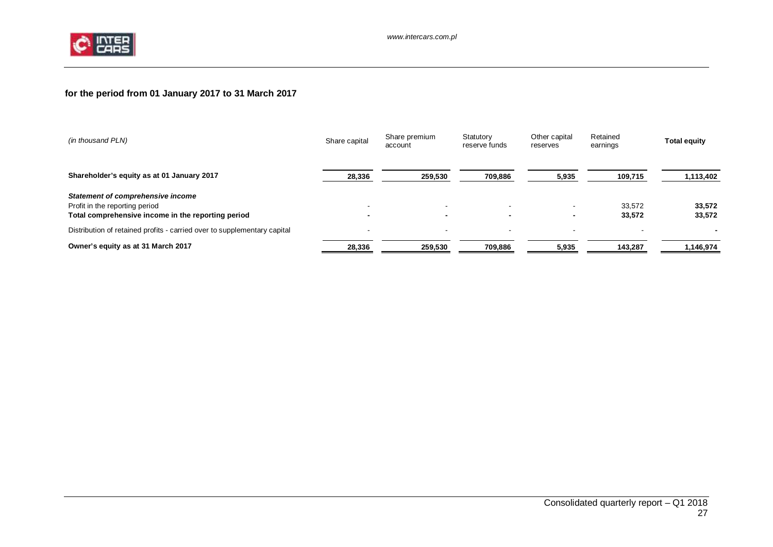

## **for the period from 01 January 2017 to 31 March 2017**

| (in thousand PLN)                                                                                                         | Share capital            | Share premium<br>account           | Statutory<br>reserve funds | Other capital<br>reserves | Retained<br>earnings | <b>Total equity</b> |
|---------------------------------------------------------------------------------------------------------------------------|--------------------------|------------------------------------|----------------------------|---------------------------|----------------------|---------------------|
| Shareholder's equity as at 01 January 2017                                                                                | 28,336                   | 259,530                            | 709,886                    | 5,935                     | 109,715              | 1,113,402           |
| Statement of comprehensive income<br>Profit in the reporting period<br>Total comprehensive income in the reporting period |                          | $\sim$<br>$\overline{\phantom{0}}$ | $\overline{\phantom{a}}$   |                           | 33.572<br>33,572     | 33.572<br>33,572    |
| Distribution of retained profits - carried over to supplementary capital                                                  | $\overline{\phantom{a}}$ | $\overline{\phantom{a}}$           | -                          |                           |                      |                     |
| Owner's equity as at 31 March 2017                                                                                        | 28,336                   | 259,530                            | 709,886                    | 5,935                     | 143,287              | 1,146,974           |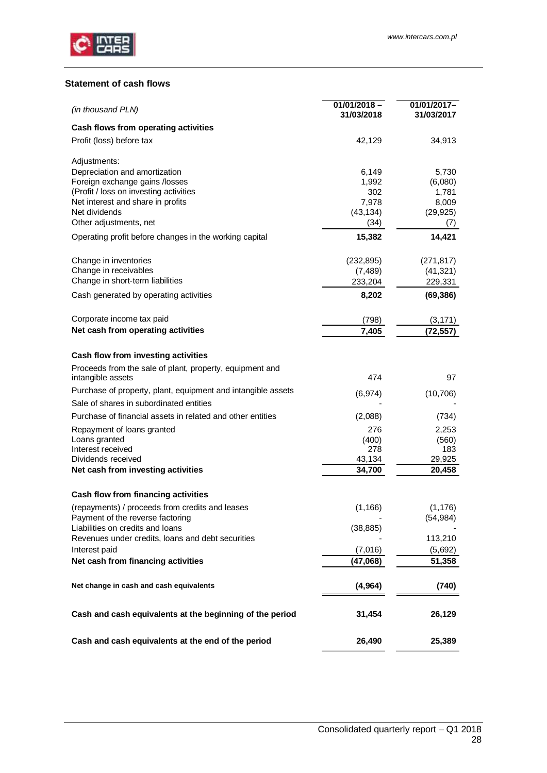

## <span id="page-27-0"></span>**Statement of cash flows**

| (in thousand PLN)                                            | $01/01/2018 -$<br>31/03/2018 | 01/01/2017-<br>31/03/2017 |
|--------------------------------------------------------------|------------------------------|---------------------------|
| Cash flows from operating activities                         |                              |                           |
| Profit (loss) before tax                                     | 42,129                       | 34,913                    |
| Adjustments:                                                 |                              |                           |
| Depreciation and amortization                                | 6,149                        | 5,730                     |
| Foreign exchange gains /losses                               | 1,992                        | (6,080)                   |
| (Profit / loss on investing activities                       | 302                          | 1,781                     |
| Net interest and share in profits                            | 7,978                        | 8,009                     |
| Net dividends<br>Other adjustments, net                      | (43, 134)                    | (29, 925)                 |
|                                                              | (34)                         | (7)                       |
| Operating profit before changes in the working capital       | 15,382                       | 14,421                    |
| Change in inventories                                        | (232, 895)                   | (271, 817)                |
| Change in receivables                                        | (7, 489)                     | (41, 321)                 |
| Change in short-term liabilities                             | 233,204                      | 229,331                   |
| Cash generated by operating activities                       | 8,202                        | (69, 386)                 |
| Corporate income tax paid                                    | (798)                        | (3, 171)                  |
| Net cash from operating activities                           | 7,405                        | (72,557)                  |
|                                                              |                              |                           |
| Cash flow from investing activities                          |                              |                           |
| Proceeds from the sale of plant, property, equipment and     |                              |                           |
| intangible assets                                            | 474                          | 97                        |
| Purchase of property, plant, equipment and intangible assets | (6, 974)                     | (10, 706)                 |
| Sale of shares in subordinated entities                      |                              |                           |
| Purchase of financial assets in related and other entities   | (2,088)                      | (734)                     |
| Repayment of loans granted                                   | 276                          | 2,253                     |
| Loans granted                                                | (400)                        | (560)                     |
| Interest received                                            | 278                          | 183                       |
| Dividends received                                           | 43,134                       | 29,925                    |
| Net cash from investing activities                           | 34,700                       | 20,458                    |
| Cash flow from financing activities                          |                              |                           |
| (repayments) / proceeds from credits and leases              | (1, 166)                     | (1, 176)                  |
| Payment of the reverse factoring                             |                              | (54, 984)                 |
| Liabilities on credits and loans                             | (38, 885)                    |                           |
| Revenues under credits, loans and debt securities            |                              | 113,210                   |
| Interest paid                                                | (7,016)                      | (5,692)                   |
| Net cash from financing activities                           | (47,068)                     | 51,358                    |
| Net change in cash and cash equivalents                      | (4, 964)                     | (740)                     |
| Cash and cash equivalents at the beginning of the period     | 31,454                       | 26,129                    |
| Cash and cash equivalents at the end of the period           | 26,490                       | 25,389                    |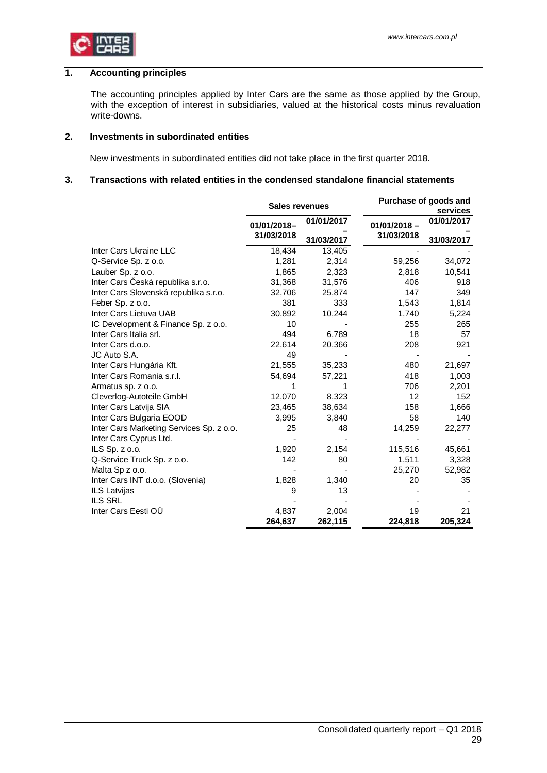

### **1. Accounting principles**

<span id="page-28-0"></span>The accounting principles applied by Inter Cars are the same as those applied by the Group, with the exception of interest in subsidiaries, valued at the historical costs minus revaluation write-downs.

#### **2. Investments in subordinated entities**

<span id="page-28-2"></span><span id="page-28-1"></span>New investments in subordinated entities did not take place in the first quarter 2018.

## **3. Transactions with related entities in the condensed standalone financial statements**

|                                          | <b>Sales revenues</b> |            |                   | Purchase of goods and<br>services |
|------------------------------------------|-----------------------|------------|-------------------|-----------------------------------|
|                                          | 01/01/2018-           | 01/01/2017 | $01/01/2018 -$    | 01/01/2017                        |
|                                          | 31/03/2018            | 31/03/2017 | 31/03/2018        | 31/03/2017                        |
| Inter Cars Ukraine LLC                   | 18,434                | 13,405     |                   |                                   |
| Q-Service Sp. z o.o.                     | 1,281                 | 2,314      | 59,256            | 34,072                            |
| Lauber Sp. z o.o.                        | 1,865                 | 2,323      | 2,818             | 10,541                            |
| Inter Cars Česká republika s.r.o.        | 31,368                | 31,576     | 406               | 918                               |
| Inter Cars Slovenská republika s.r.o.    | 32,706                | 25,874     | 147               | 349                               |
| Feber Sp. z o.o.                         | 381                   | 333        | 1,543             | 1,814                             |
| Inter Cars Lietuva UAB                   | 30,892                | 10,244     | 1,740             | 5,224                             |
| IC Development & Finance Sp. z o.o.      | 10                    |            | 255               | 265                               |
| Inter Cars Italia srl.                   | 494                   | 6,789      | 18                | 57                                |
| Inter Cars d.o.o.                        | 22,614                | 20,366     | 208               | 921                               |
| JC Auto S.A.                             | 49                    |            |                   |                                   |
| Inter Cars Hungária Kft.                 | 21,555                | 35,233     | 480               | 21,697                            |
| Inter Cars Romania s.r.l.                | 54,694                | 57,221     | 418               | 1,003                             |
| Armatus sp. z o.o.                       | 1                     |            | 706               | 2,201                             |
| Cleverlog-Autoteile GmbH                 | 12,070                | 8,323      | $12 \overline{ }$ | 152                               |
| Inter Cars Latvija SIA                   | 23,465                | 38,634     | 158               | 1,666                             |
| Inter Cars Bulgaria EOOD                 | 3,995                 | 3,840      | 58                | 140                               |
| Inter Cars Marketing Services Sp. z o.o. | 25                    | 48         | 14,259            | 22,277                            |
| Inter Cars Cyprus Ltd.                   |                       |            |                   |                                   |
| ILS Sp. z o.o.                           | 1,920                 | 2,154      | 115,516           | 45,661                            |
| Q-Service Truck Sp. z o.o.               | 142                   | 80         | 1,511             | 3,328                             |
| Malta Sp z o.o.                          |                       |            | 25,270            | 52,982                            |
| Inter Cars INT d.o.o. (Slovenia)         | 1,828                 | 1,340      | 20                | 35                                |
| ILS Latvijas                             | 9                     | 13         |                   |                                   |
| <b>ILS SRL</b>                           |                       |            |                   |                                   |
| Inter Cars Eesti OÜ                      | 4,837                 | 2,004      | 19                | 21                                |
|                                          | 264,637               | 262,115    | 224,818           | 205,324                           |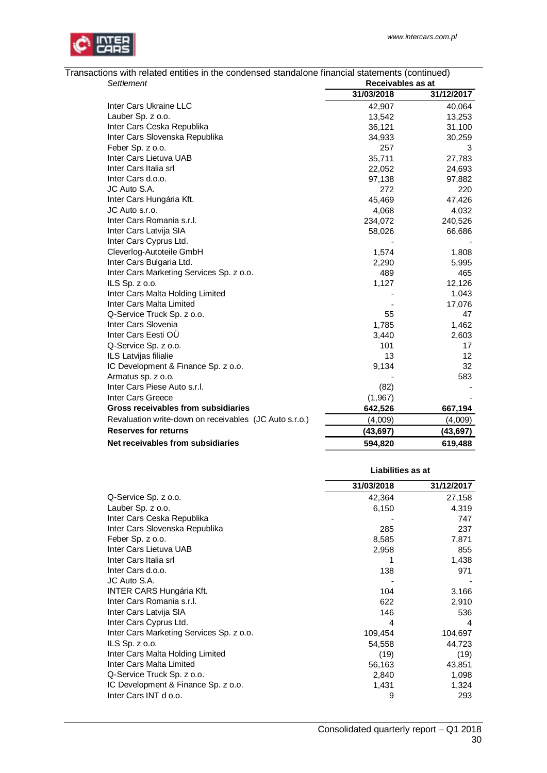| Transactions with related entities in the condensed standalone financial statements (continued)<br>Settlement |            | Receivables as at |  |  |  |
|---------------------------------------------------------------------------------------------------------------|------------|-------------------|--|--|--|
|                                                                                                               | 31/03/2018 | 31/12/2017        |  |  |  |
| Inter Cars Ukraine LLC                                                                                        | 42,907     | 40,064            |  |  |  |
| Lauber Sp. z o.o.                                                                                             | 13,542     | 13,253            |  |  |  |
| Inter Cars Ceska Republika                                                                                    | 36,121     | 31,100            |  |  |  |
| Inter Cars Slovenska Republika                                                                                | 34,933     | 30,259            |  |  |  |
| Feber Sp. z o.o.                                                                                              | 257        | 3                 |  |  |  |
| Inter Cars Lietuva UAB                                                                                        | 35,711     | 27,783            |  |  |  |
| Inter Cars Italia srl                                                                                         | 22,052     | 24,693            |  |  |  |
| Inter Cars d.o.o.                                                                                             | 97,138     | 97,882            |  |  |  |
| JC Auto S.A.                                                                                                  | 272        | 220               |  |  |  |
| Inter Cars Hungária Kft.                                                                                      | 45,469     | 47,426            |  |  |  |
| JC Auto s.r.o.                                                                                                | 4,068      | 4,032             |  |  |  |
| Inter Cars Romania s.r.l.                                                                                     | 234,072    | 240,526           |  |  |  |
| Inter Cars Latvija SIA                                                                                        | 58,026     | 66,686            |  |  |  |
| Inter Cars Cyprus Ltd.                                                                                        |            |                   |  |  |  |
| Cleverlog-Autoteile GmbH                                                                                      | 1,574      | 1,808             |  |  |  |
| Inter Cars Bulgaria Ltd.                                                                                      | 2,290      | 5,995             |  |  |  |
| Inter Cars Marketing Services Sp. z o.o.                                                                      | 489        | 465               |  |  |  |
| ILS Sp. z o.o.                                                                                                | 1,127      | 12,126            |  |  |  |
| Inter Cars Malta Holding Limited                                                                              |            | 1,043             |  |  |  |
| Inter Cars Malta Limited                                                                                      |            | 17,076            |  |  |  |
| Q-Service Truck Sp. z o.o.                                                                                    | 55         | 47                |  |  |  |
| Inter Cars Slovenia                                                                                           | 1,785      | 1,462             |  |  |  |
| Inter Cars Eesti OÜ                                                                                           | 3,440      | 2,603             |  |  |  |
| Q-Service Sp. z o.o.                                                                                          | 101        | 17                |  |  |  |
| ILS Latvijas filialie                                                                                         | 13         | 12                |  |  |  |
| IC Development & Finance Sp. z o.o.                                                                           | 9,134      | 32                |  |  |  |
| Armatus sp. z o.o.                                                                                            |            | 583               |  |  |  |
| Inter Cars Piese Auto s.r.l.                                                                                  | (82)       |                   |  |  |  |
| Inter Cars Greece                                                                                             | (1,967)    |                   |  |  |  |
| Gross receivables from subsidiaries                                                                           | 642,526    | 667,194           |  |  |  |
| Revaluation write-down on receivables (JC Auto s.r.o.)                                                        | (4,009)    | (4,009)           |  |  |  |
| <b>Reserves for returns</b>                                                                                   | (43, 697)  | (43, 697)         |  |  |  |
| Net receivables from subsidiaries                                                                             | 594,820    | 619,488           |  |  |  |

| Transactions with related entities in the condensed standalone financial statements (continued) |                   |  |
|-------------------------------------------------------------------------------------------------|-------------------|--|
| Settlement                                                                                      | Receivables as at |  |

|                                          | Liabilities as at |            |  |
|------------------------------------------|-------------------|------------|--|
|                                          | 31/03/2018        | 31/12/2017 |  |
| Q-Service Sp. z o.o.                     | 42,364            | 27,158     |  |
| Lauber Sp. z o.o.                        | 6,150             | 4,319      |  |
| Inter Cars Ceska Republika               |                   | 747        |  |
| Inter Cars Slovenska Republika           | 285               | 237        |  |
| Feber Sp. z o.o.                         | 8,585             | 7,871      |  |
| Inter Cars Lietuva UAB                   | 2,958             | 855        |  |
| Inter Cars Italia srl                    |                   | 1,438      |  |
| Inter Cars d.o.o.                        | 138               | 971        |  |
| JC Auto S.A.                             |                   |            |  |
| <b>INTER CARS Hungária Kft.</b>          | 104               | 3,166      |  |
| Inter Cars Romania s.r.l.                | 622               | 2,910      |  |
| Inter Cars Latvija SIA                   | 146               | 536        |  |
| Inter Cars Cyprus Ltd.                   | 4                 | 4          |  |
| Inter Cars Marketing Services Sp. z o.o. | 109,454           | 104,697    |  |
| ILS Sp. $z$ o.o.                         | 54,558            | 44,723     |  |
| Inter Cars Malta Holding Limited         | (19)              | (19)       |  |
| Inter Cars Malta Limited                 | 56,163            | 43,851     |  |
| Q-Service Truck Sp. z o.o.               | 2,840             | 1,098      |  |
| IC Development & Finance Sp. z o.o.      | 1,431             | 1,324      |  |
| Inter Cars INT d o.o.                    | 9                 | 293        |  |